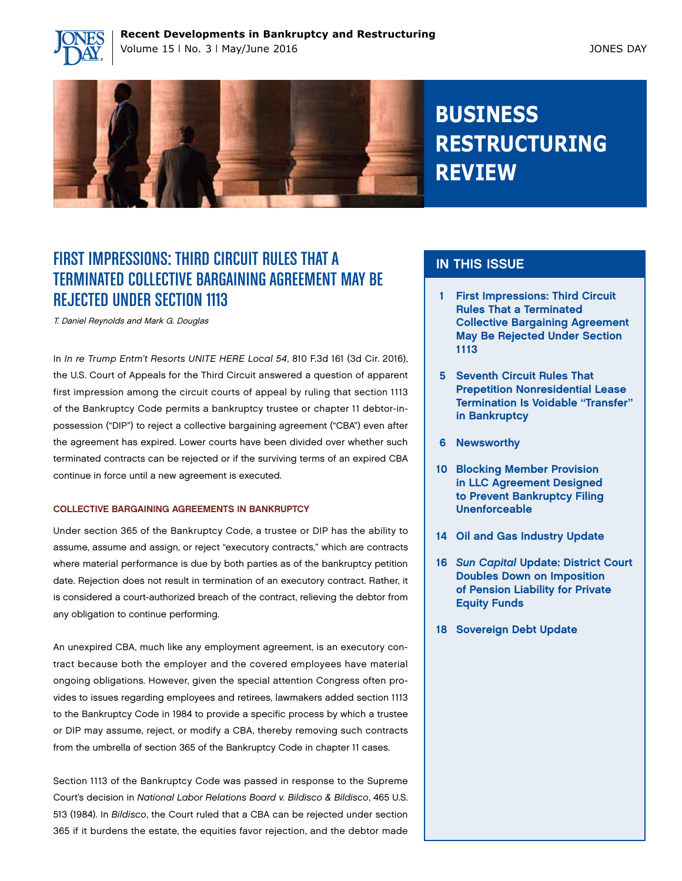



# **BUSINESS RESTRUCTURING REVIEW**

# FIRST IMPRESSIONS: THIRD CIRCUIT RULES THAT A TERMINATED COLLECTIVE BARGAINING AGREEMENT MAY BE REJECTED UNDER SECTION 1113

T. Daniel Reynolds and Mark G. Douglas

In *In re Trump Entm't Resorts UNITE HERE Local 54*, 810 F.3d 161 (3d Cir. 2016), the U.S. Court of Appeals for the Third Circuit answered a question of apparent first impression among the circuit courts of appeal by ruling that section 1113 of the Bankruptcy Code permits a bankruptcy trustee or chapter 11 debtor-inpossession ("DIP") to reject a collective bargaining agreement ("CBA") even after the agreement has expired. Lower courts have been divided over whether such terminated contracts can be rejected or if the surviving terms of an expired CBA continue in force until a new agreement is executed.

#### COLLECTIVE BARGAINING AGREEMENTS IN BANKRUPTCY

Under section 365 of the Bankruptcy Code, a trustee or DIP has the ability to assume, assume and assign, or reject "executory contracts," which are contracts where material performance is due by both parties as of the bankruptcy petition date. Rejection does not result in termination of an executory contract. Rather, it is considered a court-authorized breach of the contract, relieving the debtor from any obligation to continue performing.

An unexpired CBA, much like any employment agreement, is an executory contract because both the employer and the covered employees have material ongoing obligations. However, given the special attention Congress often provides to issues regarding employees and retirees, lawmakers added section 1113 to the Bankruptcy Code in 1984 to provide a specific process by which a trustee or DIP may assume, reject, or modify a CBA, thereby removing such contracts from the umbrella of section 365 of the Bankruptcy Code in chapter 11 cases.

Section 1113 of the Bankruptcy Code was passed in response to the Supreme Court's decision in *National Labor Relations Board v. Bildisco & Bildisco*, 465 U.S. 513 (1984). In *Bildisco*, the Court ruled that a CBA can be rejected under section 365 if it burdens the estate, the equities favor rejection, and the debtor made

## IN THIS ISSUE

- 1 First Impressions: Third Circuit Rules That a Terminated Collective Bargaining Agreement May Be Rejected Under Section 1113
- 5 Seventh Circuit Rules That Prepetition Nonresidential Lease Termination Is Voidable "Transfer" in Bankruptcy
- 6 Newsworthy
- 10 Blocking Member Provision in LLC Agreement Designed to Prevent Bankruptcy Filing Unenforceable
- 14 Oil and Gas Industry Update
- 16 *Sun Capital* Update: District Court Doubles Down on Imposition of Pension Liability for Private Equity Funds
- 18 Sovereign Debt Update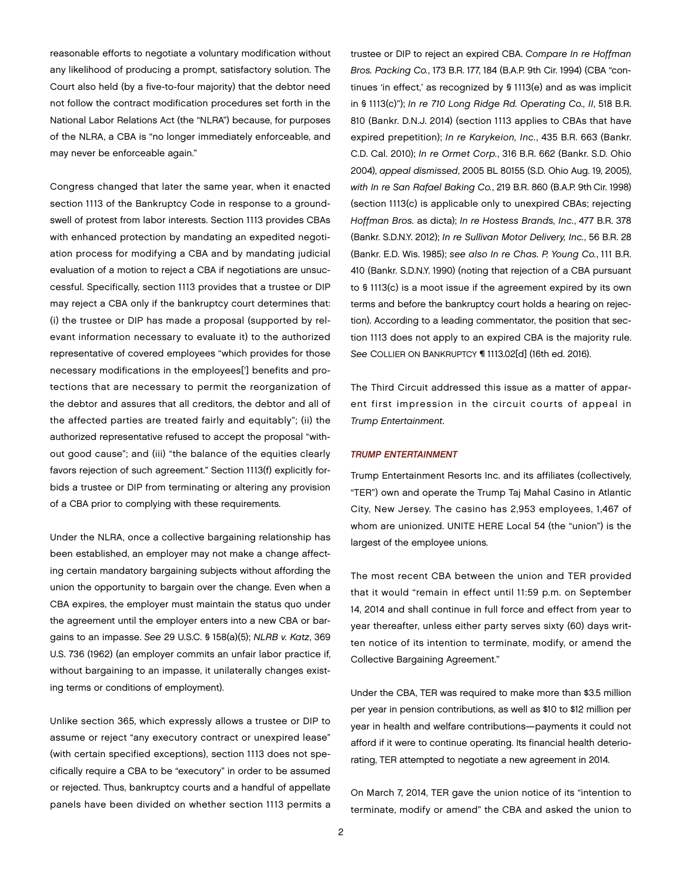reasonable efforts to negotiate a voluntary modification without any likelihood of producing a prompt, satisfactory solution. The Court also held (by a five-to-four majority) that the debtor need not follow the contract modification procedures set forth in the National Labor Relations Act (the "NLRA") because, for purposes of the NLRA, a CBA is "no longer immediately enforceable, and may never be enforceable again."

Congress changed that later the same year, when it enacted section 1113 of the Bankruptcy Code in response to a groundswell of protest from labor interests. Section 1113 provides CBAs with enhanced protection by mandating an expedited negotiation process for modifying a CBA and by mandating judicial evaluation of a motion to reject a CBA if negotiations are unsuccessful. Specifically, section 1113 provides that a trustee or DIP may reject a CBA only if the bankruptcy court determines that: (i) the trustee or DIP has made a proposal (supported by relevant information necessary to evaluate it) to the authorized representative of covered employees "which provides for those necessary modifications in the employees['] benefits and protections that are necessary to permit the reorganization of the debtor and assures that all creditors, the debtor and all of the affected parties are treated fairly and equitably"; (ii) the authorized representative refused to accept the proposal "without good cause"; and (iii) "the balance of the equities clearly favors rejection of such agreement." Section 1113(f) explicitly forbids a trustee or DIP from terminating or altering any provision of a CBA prior to complying with these requirements.

Under the NLRA, once a collective bargaining relationship has been established, an employer may not make a change affecting certain mandatory bargaining subjects without affording the union the opportunity to bargain over the change. Even when a CBA expires, the employer must maintain the status quo under the agreement until the employer enters into a new CBA or bargains to an impasse. *See* 29 U.S.C. § 158(a)(5); *NLRB v. Katz*, 369 U.S. 736 (1962) (an employer commits an unfair labor practice if, without bargaining to an impasse, it unilaterally changes existing terms or conditions of employment).

Unlike section 365, which expressly allows a trustee or DIP to assume or reject "any executory contract or unexpired lease" (with certain specified exceptions), section 1113 does not specifically require a CBA to be "executory" in order to be assumed or rejected. Thus, bankruptcy courts and a handful of appellate panels have been divided on whether section 1113 permits a trustee or DIP to reject an expired CBA. *Compare In re Hoffman Bros. Packing Co.*, 173 B.R. 177, 184 (B.A.P. 9th Cir. 1994) (CBA "continues 'in effect,' as recognized by § 1113(e) and as was implicit in § 1113(c)"); *In re 710 Long Ridge Rd. Operating Co., II*, 518 B.R. 810 (Bankr. D.N.J. 2014) (section 1113 applies to CBAs that have expired prepetition); *In re Karykeion, Inc.*, 435 B.R. 663 (Bankr. C.D. Cal. 2010); *In re Ormet Corp.*, 316 B.R. 662 (Bankr. S.D. Ohio 2004), *appeal dismissed*, 2005 BL 80155 (S.D. Ohio Aug. 19, 2005), *with In re San Rafael Baking Co.*, 219 B.R. 860 (B.A.P. 9th Cir. 1998) (section 1113(c) is applicable only to unexpired CBAs; rejecting *Hoffman Bros.* as dicta); *In re Hostess Brands, Inc.*, 477 B.R. 378 (Bankr. S.D.N.Y. 2012); *In re Sullivan Motor Delivery, Inc.*, 56 B.R. 28 (Bankr. E.D. Wis. 1985); *see also In re Chas. P. Young Co.*, 111 B.R. 410 (Bankr. S.D.N.Y. 1990) (noting that rejection of a CBA pursuant to § 1113(c) is a moot issue if the agreement expired by its own terms and before the bankruptcy court holds a hearing on rejection). According to a leading commentator, the position that section 1113 does not apply to an expired CBA is the majority rule. *See* COLLIER ON BANKRUPTCY ¶ 1113.02[d] (16th ed. 2016).

The Third Circuit addressed this issue as a matter of apparent first impression in the circuit courts of appeal in *Trump Entertainment*.

#### *TRUMP ENTERTAINMENT*

Trump Entertainment Resorts Inc. and its affiliates (collectively, "TER") own and operate the Trump Taj Mahal Casino in Atlantic City, New Jersey. The casino has 2,953 employees, 1,467 of whom are unionized. UNITE HERE Local 54 (the "union") is the largest of the employee unions.

The most recent CBA between the union and TER provided that it would "remain in effect until 11:59 p.m. on September 14, 2014 and shall continue in full force and effect from year to year thereafter, unless either party serves sixty (60) days written notice of its intention to terminate, modify, or amend the Collective Bargaining Agreement."

Under the CBA, TER was required to make more than \$3.5 million per year in pension contributions, as well as \$10 to \$12 million per year in health and welfare contributions—payments it could not afford if it were to continue operating. Its financial health deteriorating, TER attempted to negotiate a new agreement in 2014.

On March 7, 2014, TER gave the union notice of its "intention to terminate, modify or amend" the CBA and asked the union to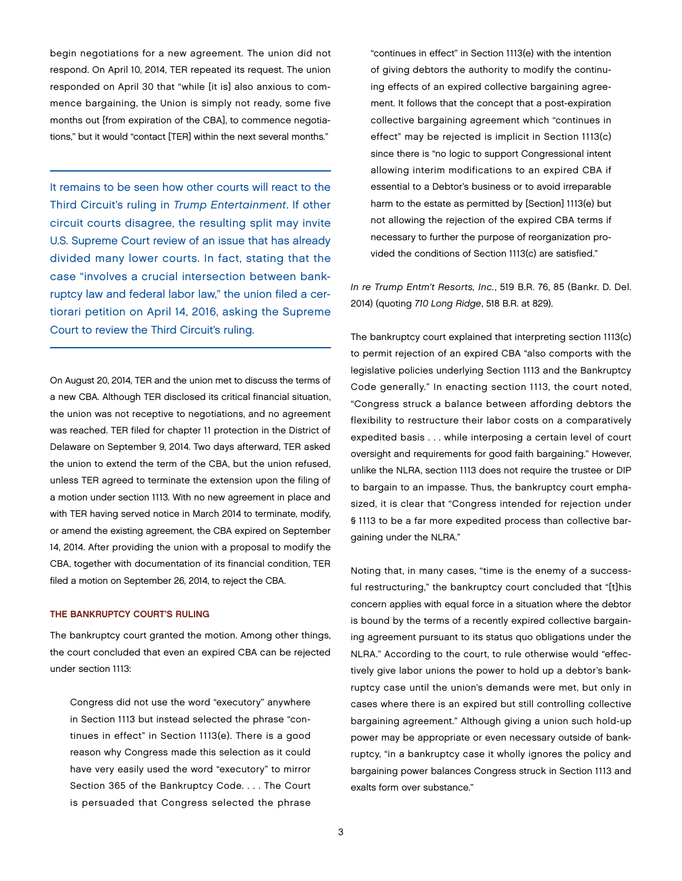begin negotiations for a new agreement. The union did not respond. On April 10, 2014, TER repeated its request. The union responded on April 30 that "while [it is] also anxious to commence bargaining, the Union is simply not ready, some five months out [from expiration of the CBA], to commence negotiations," but it would "contact [TER] within the next several months."

It remains to be seen how other courts will react to the Third Circuit's ruling in *Trump Entertainment*. If other circuit courts disagree, the resulting split may invite U.S. Supreme Court review of an issue that has already divided many lower courts. In fact, stating that the case "involves a crucial intersection between bankruptcy law and federal labor law," the union filed a certiorari petition on April 14, 2016, asking the Supreme Court to review the Third Circuit's ruling.

On August 20, 2014, TER and the union met to discuss the terms of a new CBA. Although TER disclosed its critical financial situation, the union was not receptive to negotiations, and no agreement was reached. TER filed for chapter 11 protection in the District of Delaware on September 9, 2014. Two days afterward, TER asked the union to extend the term of the CBA, but the union refused, unless TER agreed to terminate the extension upon the filing of a motion under section 1113. With no new agreement in place and with TER having served notice in March 2014 to terminate, modify, or amend the existing agreement, the CBA expired on September 14, 2014. After providing the union with a proposal to modify the CBA, together with documentation of its financial condition, TER filed a motion on September 26, 2014, to reject the CBA.

#### THE BANKRUPTCY COURT'S RULING

The bankruptcy court granted the motion. Among other things, the court concluded that even an expired CBA can be rejected under section 1113:

Congress did not use the word "executory" anywhere in Section 1113 but instead selected the phrase "continues in effect" in Section 1113(e). There is a good reason why Congress made this selection as it could have very easily used the word "executory" to mirror Section 365 of the Bankruptcy Code. . . . The Court is persuaded that Congress selected the phrase

"continues in effect" in Section 1113(e) with the intention of giving debtors the authority to modify the continuing effects of an expired collective bargaining agreement. It follows that the concept that a post-expiration collective bargaining agreement which "continues in effect" may be rejected is implicit in Section 1113(c) since there is "no logic to support Congressional intent allowing interim modifications to an expired CBA if essential to a Debtor's business or to avoid irreparable harm to the estate as permitted by [Section] 1113(e) but not allowing the rejection of the expired CBA terms if necessary to further the purpose of reorganization provided the conditions of Section 1113(c) are satisfied."

*In re Trump Entm't Resorts, Inc.*, 519 B.R. 76, 85 (Bankr. D. Del. 2014) (quoting *710 Long Ridge*, 518 B.R. at 829).

The bankruptcy court explained that interpreting section 1113(c) to permit rejection of an expired CBA "also comports with the legislative policies underlying Section 1113 and the Bankruptcy Code generally." In enacting section 1113, the court noted, "Congress struck a balance between affording debtors the flexibility to restructure their labor costs on a comparatively expedited basis . . . while interposing a certain level of court oversight and requirements for good faith bargaining." However, unlike the NLRA, section 1113 does not require the trustee or DIP to bargain to an impasse. Thus, the bankruptcy court emphasized, it is clear that "Congress intended for rejection under § 1113 to be a far more expedited process than collective bargaining under the NLRA."

Noting that, in many cases, "time is the enemy of a successful restructuring," the bankruptcy court concluded that "[t]his concern applies with equal force in a situation where the debtor is bound by the terms of a recently expired collective bargaining agreement pursuant to its status quo obligations under the NLRA." According to the court, to rule otherwise would "effectively give labor unions the power to hold up a debtor's bankruptcy case until the union's demands were met, but only in cases where there is an expired but still controlling collective bargaining agreement." Although giving a union such hold-up power may be appropriate or even necessary outside of bankruptcy, "in a bankruptcy case it wholly ignores the policy and bargaining power balances Congress struck in Section 1113 and exalts form over substance."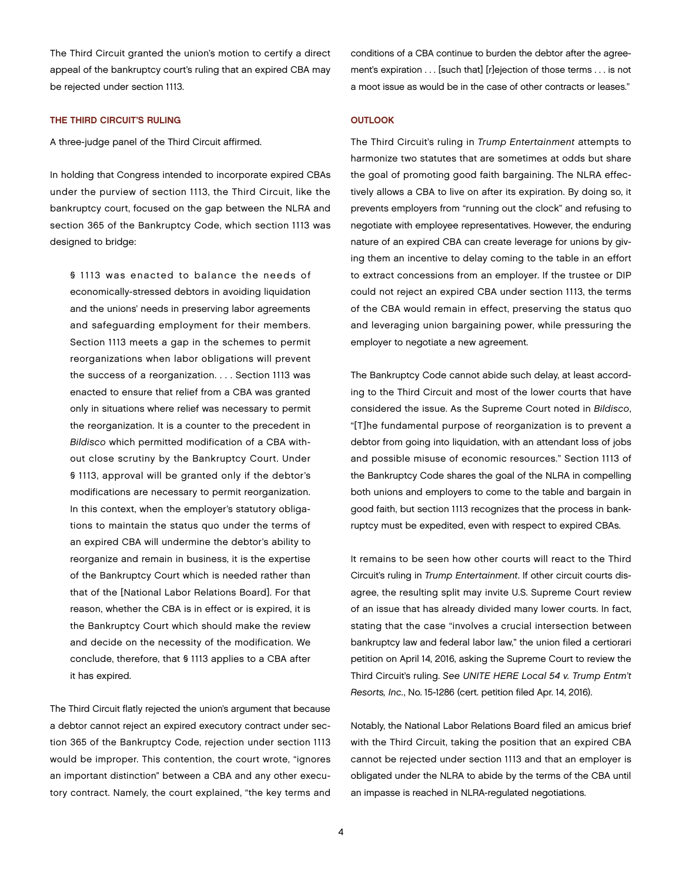The Third Circuit granted the union's motion to certify a direct appeal of the bankruptcy court's ruling that an expired CBA may be rejected under section 1113.

#### THE THIRD CIRCUIT'S RULING

A three-judge panel of the Third Circuit affirmed.

In holding that Congress intended to incorporate expired CBAs under the purview of section 1113, the Third Circuit, like the bankruptcy court, focused on the gap between the NLRA and section 365 of the Bankruptcy Code, which section 1113 was designed to bridge:

§ 1113 was enacted to balance the needs of economically-stressed debtors in avoiding liquidation and the unions' needs in preserving labor agreements and safeguarding employment for their members. Section 1113 meets a gap in the schemes to permit reorganizations when labor obligations will prevent the success of a reorganization. . . . Section 1113 was enacted to ensure that relief from a CBA was granted only in situations where relief was necessary to permit the reorganization. It is a counter to the precedent in *Bildisco* which permitted modification of a CBA without close scrutiny by the Bankruptcy Court. Under § 1113, approval will be granted only if the debtor's modifications are necessary to permit reorganization. In this context, when the employer's statutory obligations to maintain the status quo under the terms of an expired CBA will undermine the debtor's ability to reorganize and remain in business, it is the expertise of the Bankruptcy Court which is needed rather than that of the [National Labor Relations Board]. For that reason, whether the CBA is in effect or is expired, it is the Bankruptcy Court which should make the review and decide on the necessity of the modification. We conclude, therefore, that § 1113 applies to a CBA after it has expired.

The Third Circuit flatly rejected the union's argument that because a debtor cannot reject an expired executory contract under section 365 of the Bankruptcy Code, rejection under section 1113 would be improper. This contention, the court wrote, "ignores an important distinction" between a CBA and any other executory contract. Namely, the court explained, "the key terms and

conditions of a CBA continue to burden the debtor after the agreement's expiration . . . [such that] [r]ejection of those terms . . . is not a moot issue as would be in the case of other contracts or leases."

#### **OUTLOOK**

The Third Circuit's ruling in *Trump Entertainment* attempts to harmonize two statutes that are sometimes at odds but share the goal of promoting good faith bargaining. The NLRA effectively allows a CBA to live on after its expiration. By doing so, it prevents employers from "running out the clock" and refusing to negotiate with employee representatives. However, the enduring nature of an expired CBA can create leverage for unions by giving them an incentive to delay coming to the table in an effort to extract concessions from an employer. If the trustee or DIP could not reject an expired CBA under section 1113, the terms of the CBA would remain in effect, preserving the status quo and leveraging union bargaining power, while pressuring the employer to negotiate a new agreement.

The Bankruptcy Code cannot abide such delay, at least according to the Third Circuit and most of the lower courts that have considered the issue. As the Supreme Court noted in *Bildisco*, "[T]he fundamental purpose of reorganization is to prevent a debtor from going into liquidation, with an attendant loss of jobs and possible misuse of economic resources." Section 1113 of the Bankruptcy Code shares the goal of the NLRA in compelling both unions and employers to come to the table and bargain in good faith, but section 1113 recognizes that the process in bankruptcy must be expedited, even with respect to expired CBAs.

It remains to be seen how other courts will react to the Third Circuit's ruling in *Trump Entertainment*. If other circuit courts disagree, the resulting split may invite U.S. Supreme Court review of an issue that has already divided many lower courts. In fact, stating that the case "involves a crucial intersection between bankruptcy law and federal labor law," the union filed a certiorari petition on April 14, 2016, asking the Supreme Court to review the Third Circuit's ruling. *See UNITE HERE Local 54 v. Trump Entm't Resorts, Inc.*, No. 15-1286 (cert. petition filed Apr. 14, 2016).

Notably, the National Labor Relations Board filed an amicus brief with the Third Circuit, taking the position that an expired CBA cannot be rejected under section 1113 and that an employer is obligated under the NLRA to abide by the terms of the CBA until an impasse is reached in NLRA-regulated negotiations.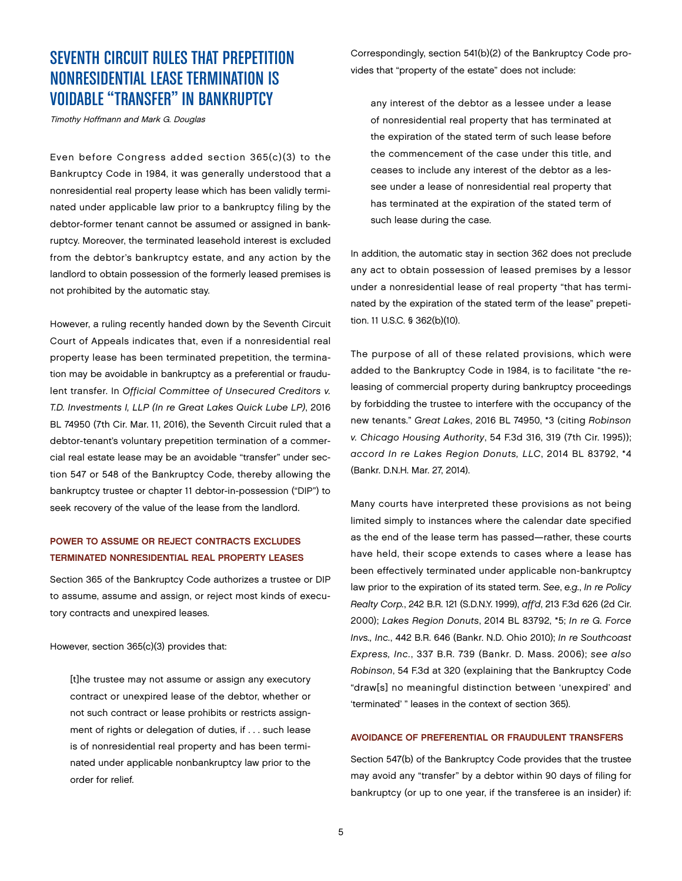# SEVENTH CIRCUIT RULES THAT PREPETITION NONRESIDENTIAL LEASE TERMINATION IS VOIDABLE "TRANSFER" IN BANKRUPTCY

Timothy Hoffmann and Mark G. Douglas

Even before Congress added section 365(c)(3) to the Bankruptcy Code in 1984, it was generally understood that a nonresidential real property lease which has been validly terminated under applicable law prior to a bankruptcy filing by the debtor-former tenant cannot be assumed or assigned in bankruptcy. Moreover, the terminated leasehold interest is excluded from the debtor's bankruptcy estate, and any action by the landlord to obtain possession of the formerly leased premises is not prohibited by the automatic stay.

However, a ruling recently handed down by the Seventh Circuit Court of Appeals indicates that, even if a nonresidential real property lease has been terminated prepetition, the termination may be avoidable in bankruptcy as a preferential or fraudulent transfer. In *Official Committee of Unsecured Creditors v. T.D. Investments I, LLP (In re Great Lakes Quick Lube LP)*, 2016 BL 74950 (7th Cir. Mar. 11, 2016), the Seventh Circuit ruled that a debtor-tenant's voluntary prepetition termination of a commercial real estate lease may be an avoidable "transfer" under section 547 or 548 of the Bankruptcy Code, thereby allowing the bankruptcy trustee or chapter 11 debtor-in-possession ("DIP") to seek recovery of the value of the lease from the landlord.

### POWER TO ASSUME OR REJECT CONTRACTS EXCLUDES TERMINATED NONRESIDENTIAL REAL PROPERTY LEASES

Section 365 of the Bankruptcy Code authorizes a trustee or DIP to assume, assume and assign, or reject most kinds of executory contracts and unexpired leases.

#### However, section 365(c)(3) provides that:

[t]he trustee may not assume or assign any executory contract or unexpired lease of the debtor, whether or not such contract or lease prohibits or restricts assignment of rights or delegation of duties, if . . . such lease is of nonresidential real property and has been terminated under applicable nonbankruptcy law prior to the order for relief.

Correspondingly, section 541(b)(2) of the Bankruptcy Code provides that "property of the estate" does not include:

any interest of the debtor as a lessee under a lease of nonresidential real property that has terminated at the expiration of the stated term of such lease before the commencement of the case under this title, and ceases to include any interest of the debtor as a lessee under a lease of nonresidential real property that has terminated at the expiration of the stated term of such lease during the case.

In addition, the automatic stay in section 362 does not preclude any act to obtain possession of leased premises by a lessor under a nonresidential lease of real property "that has terminated by the expiration of the stated term of the lease" prepetition. 11 U.S.C. § 362(b)(10).

The purpose of all of these related provisions, which were added to the Bankruptcy Code in 1984, is to facilitate "the releasing of commercial property during bankruptcy proceedings by forbidding the trustee to interfere with the occupancy of the new tenants." *Great Lakes*, 2016 BL 74950, \*3 (citing *Robinson v. Chicago Housing Authority*, 54 F.3d 316, 319 (7th Cir. 1995)); *accord In re Lakes Region Donuts, LLC*, 2014 BL 83792, \*4 (Bankr. D.N.H. Mar. 27, 2014).

Many courts have interpreted these provisions as not being limited simply to instances where the calendar date specified as the end of the lease term has passed—rather, these courts have held, their scope extends to cases where a lease has been effectively terminated under applicable non-bankruptcy law prior to the expiration of its stated term. *See*, *e.g.*, *In re Policy Realty Corp.*, 242 B.R. 121 (S.D.N.Y. 1999), *aff'd*, 213 F.3d 626 (2d Cir. 2000); *Lakes Region Donuts*, 2014 BL 83792, \*5; *In re G. Force Invs., Inc.*, 442 B.R. 646 (Bankr. N.D. Ohio 2010); *In re Southcoast Express, Inc.*, 337 B.R. 739 (Bankr. D. Mass. 2006); *see also Robinson*, 54 F.3d at 320 (explaining that the Bankruptcy Code "draw[s] no meaningful distinction between 'unexpired' and 'terminated' " leases in the context of section 365).

#### AVOIDANCE OF PREFERENTIAL OR FRAUDULENT TRANSFERS

Section 547(b) of the Bankruptcy Code provides that the trustee may avoid any "transfer" by a debtor within 90 days of filing for bankruptcy (or up to one year, if the transferee is an insider) if: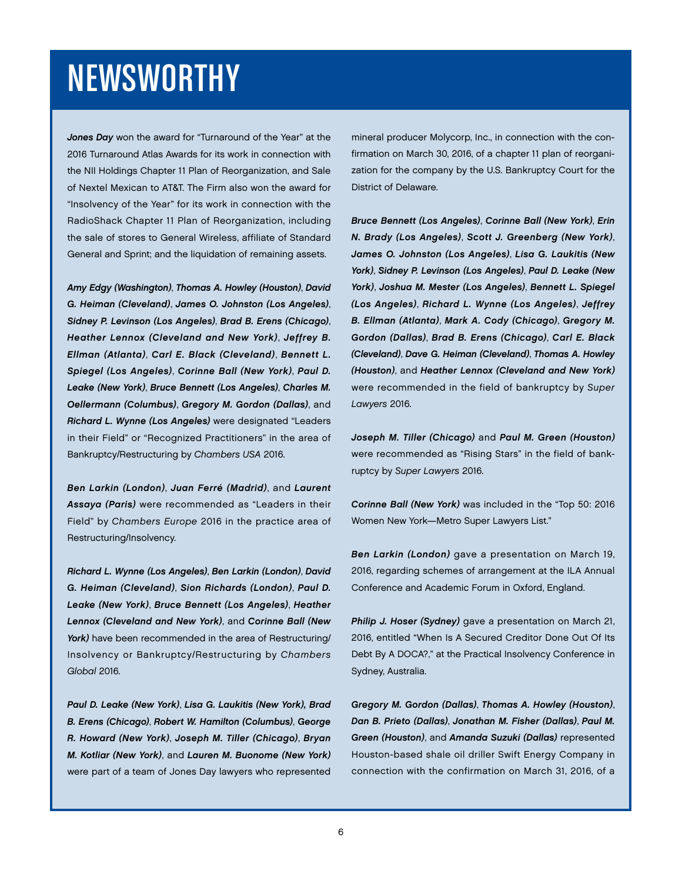# NEWSWORTHY

*Jones Day* won the award for "Turnaround of the Year" at the 2016 Turnaround Atlas Awards for its work in connection with the NII Holdings Chapter 11 Plan of Reorganization, and Sale of Nextel Mexican to AT&T. The Firm also won the award for "Insolvency of the Year" for its work in connection with the RadioShack Chapter 11 Plan of Reorganization, including the sale of stores to General Wireless, affiliate of Standard General and Sprint; and the liquidation of remaining assets.

*Amy Edgy (Washington)*, *Thomas A. Howley (Houston)*, *David G. Heiman (Cleveland)*, *James O. Johnston (Los Angeles)*, *Sidney P. Levinson (Los Angeles)*, *Brad B. Erens (Chicago)*, *Heather Lennox (Cleveland and New York)*, *Jeffrey B. Ellman (Atlanta)*, *Carl E. Black (Cleveland)*, *Bennett L. Spiegel (Los Angeles)*, *Corinne Ball (New York)*, *Paul D. Leake (New York)*, *Bruce Bennett (Los Angeles)*, *Charles M. Oellermann (Columbus)*, *Gregory M. Gordon (Dallas)*, and *Richard L. Wynne (Los Angeles)* were designated "Leaders in their Field" or "Recognized Practitioners" in the area of Bankruptcy/Restructuring by *Chambers USA* 2016.

*Ben Larkin (London)*, *Juan Ferré (Madrid)*, and *Laurent Assaya (Paris)* were recommended as "Leaders in their Field" by *Chambers Europe* 2016 in the practice area of Restructuring/Insolvency.

*Richard L. Wynne (Los Angeles)*, *Ben Larkin (London)*, *David G. Heiman (Cleveland)*, *Sion Richards (London)*, *Paul D. Leake (New York)*, *Bruce Bennett (Los Angeles)*, *Heather Lennox (Cleveland and New York)*, and *Corinne Ball (New York)* have been recommended in the area of Restructuring/ Insolvency or Bankruptcy/Restructuring by *Chambers Global* 2016.

*Paul D. Leake (New York)*, *Lisa G. Laukitis (New York), Brad B. Erens (Chicago)*, *Robert W. Hamilton (Columbus)*, *George R. Howard (New York)*, *Joseph M. Tiller (Chicago)*, *Bryan M. Kotliar (New York)*, and *Lauren M. Buonome (New York)* were part of a team of Jones Day lawyers who represented

mineral producer Molycorp, Inc., in connection with the confirmation on March 30, 2016, of a chapter 11 plan of reorganization for the company by the U.S. Bankruptcy Court for the District of Delaware.

*Bruce Bennett (Los Angeles)*, *Corinne Ball (New York)*, *Erin N. Brady (Los Angeles)*, *Scott J. Greenberg (New York)*, *James O. Johnston (Los Angeles)*, *Lisa G. Laukitis (New York)*, *Sidney P. Levinson (Los Angeles)*, *Paul D. Leake (New York)*, *Joshua M. Mester (Los Angeles)*, *Bennett L. Spiegel (Los Angeles)*, *Richard L. Wynne (Los Angeles)*, *Jeffrey B. Ellman (Atlanta)*, *Mark A. Cody (Chicago)*, *Gregory M. Gordon (Dallas)*, *Brad B. Erens (Chicago)*, *Carl E. Black (Cleveland)*, *Dave G. Heiman (Cleveland)*, *Thomas A. Howley (Houston)*, and *Heather Lennox (Cleveland and New York)* were recommended in the field of bankruptcy by *Super Lawyers* 2016.

*Joseph M. Tiller (Chicago)* and *Paul M. Green (Houston)* were recommended as "Rising Stars" in the field of bankruptcy by *Super Lawyers* 2016.

*Corinne Ball (New York)* was included in the "Top 50: 2016 Women New York—Metro Super Lawyers List."

*Ben Larkin (London)* gave a presentation on March 19, 2016, regarding schemes of arrangement at the ILA Annual Conference and Academic Forum in Oxford, England.

*Philip J. Hoser (Sydney)* gave a presentation on March 21, 2016, entitled "When Is A Secured Creditor Done Out Of Its Debt By A DOCA?," at the Practical Insolvency Conference in Sydney, Australia.

*Gregory M. Gordon (Dallas)*, *Thomas A. Howley (Houston)*, *Dan B. Prieto (Dallas)*, *Jonathan M. Fisher (Dallas)*, *Paul M. Green (Houston)*, and *Amanda Suzuki (Dallas)* represented Houston-based shale oil driller Swift Energy Company in connection with the confirmation on March 31, 2016, of a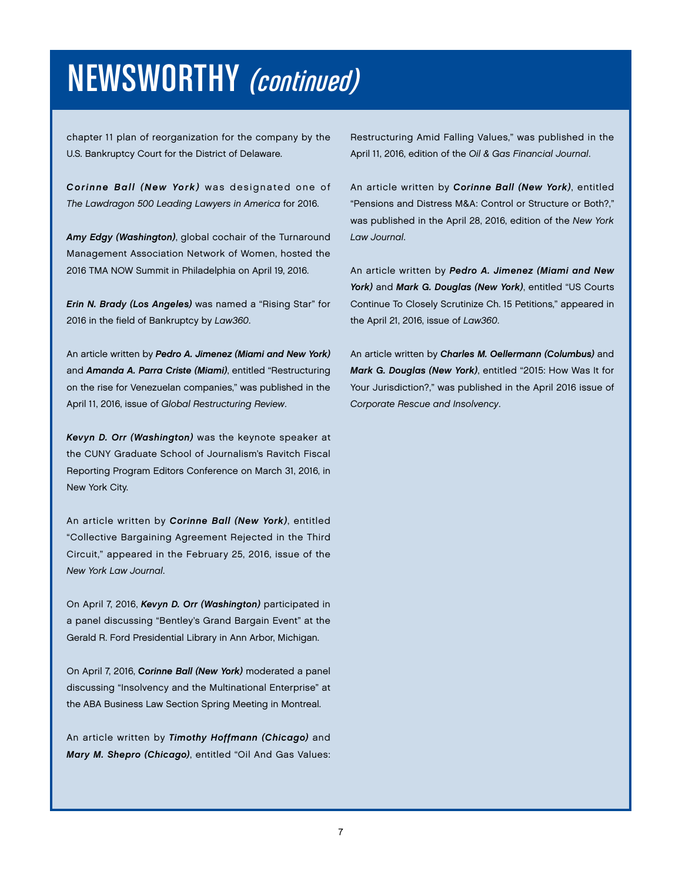# NEWSWORTHY (continued)

chapter 11 plan of reorganization for the company by the U.S. Bankruptcy Court for the District of Delaware.

*Corinne Ball (New York)* was designated one of *The Lawdragon 500 Leading Lawyers in America* for 2016.

*Amy Edgy (Washington)*, global cochair of the Turnaround Management Association Network of Women, hosted the 2016 TMA NOW Summit in Philadelphia on April 19, 2016.

*Erin N. Brady (Los Angeles)* was named a "Rising Star" for 2016 in the field of Bankruptcy by *Law360*.

An article written by *Pedro A. Jimenez (Miami and New York)* and *Amanda A. Parra Criste (Miami)*, entitled "Restructuring on the rise for Venezuelan companies," was published in the April 11, 2016, issue of *Global Restructuring Review*.

*Kevyn D. Orr (Washington)* was the keynote speaker at the CUNY Graduate School of Journalism's Ravitch Fiscal Reporting Program Editors Conference on March 31, 2016, in New York City.

An article written by *Corinne Ball (New York)*, entitled "Collective Bargaining Agreement Rejected in the Third Circuit," appeared in the February 25, 2016, issue of the *New York Law Journal*.

On April 7, 2016, *Kevyn D. Orr (Washington)* participated in a panel discussing "Bentley's Grand Bargain Event" at the Gerald R. Ford Presidential Library in Ann Arbor, Michigan.

On April 7, 2016, *Corinne Ball (New York)* moderated a panel discussing "Insolvency and the Multinational Enterprise" at the ABA Business Law Section Spring Meeting in Montreal.

An article written by *Timothy Hoffmann (Chicago)* and *Mary M. Shepro (Chicago)*, entitled "Oil And Gas Values: Restructuring Amid Falling Values," was published in the April 11, 2016, edition of the *Oil & Gas Financial Journal*.

An article written by *Corinne Ball (New York)*, entitled "Pensions and Distress M&A: Control or Structure or Both?," was published in the April 28, 2016, edition of the *New York Law Journal*.

An article written by *Pedro A. Jimenez (Miami and New York)* and *Mark G. Douglas (New York)*, entitled "US Courts Continue To Closely Scrutinize Ch. 15 Petitions," appeared in the April 21, 2016, issue of *Law360*.

An article written by *Charles M. Oellermann (Columbus)* and *Mark G. Douglas (New York)*, entitled "2015: How Was It for Your Jurisdiction?," was published in the April 2016 issue of *Corporate Rescue and Insolvency*.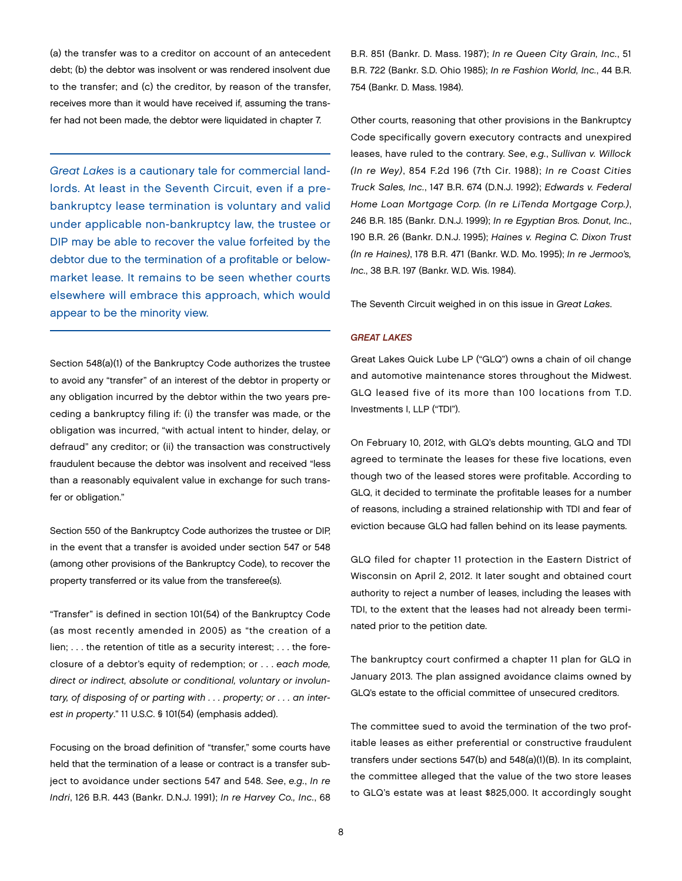(a) the transfer was to a creditor on account of an antecedent debt; (b) the debtor was insolvent or was rendered insolvent due to the transfer; and (c) the creditor, by reason of the transfer, receives more than it would have received if, assuming the transfer had not been made, the debtor were liquidated in chapter 7.

*Great Lakes* is a cautionary tale for commercial landlords. At least in the Seventh Circuit, even if a prebankruptcy lease termination is voluntary and valid under applicable non-bankruptcy law, the trustee or DIP may be able to recover the value forfeited by the debtor due to the termination of a profitable or belowmarket lease. It remains to be seen whether courts elsewhere will embrace this approach, which would appear to be the minority view.

Section 548(a)(1) of the Bankruptcy Code authorizes the trustee to avoid any "transfer" of an interest of the debtor in property or any obligation incurred by the debtor within the two years preceding a bankruptcy filing if: (i) the transfer was made, or the obligation was incurred, "with actual intent to hinder, delay, or defraud" any creditor; or (ii) the transaction was constructively fraudulent because the debtor was insolvent and received "less than a reasonably equivalent value in exchange for such transfer or obligation."

Section 550 of the Bankruptcy Code authorizes the trustee or DIP, in the event that a transfer is avoided under section 547 or 548 (among other provisions of the Bankruptcy Code), to recover the property transferred or its value from the transferee(s).

"Transfer" is defined in section 101(54) of the Bankruptcy Code (as most recently amended in 2005) as "the creation of a lien; . . . the retention of title as a security interest; . . . the foreclosure of a debtor's equity of redemption; or . . . *each mode, direct or indirect, absolute or conditional, voluntary or involuntary, of disposing of or parting with . . . property; or . . . an interest in property*." 11 U.S.C. § 101(54) (emphasis added).

Focusing on the broad definition of "transfer," some courts have held that the termination of a lease or contract is a transfer subject to avoidance under sections 547 and 548. *See*, *e.g.*, *In re Indri*, 126 B.R. 443 (Bankr. D.N.J. 1991); *In re Harvey Co., Inc.*, 68 B.R. 851 (Bankr. D. Mass. 1987); *In re Queen City Grain, Inc.*, 51 B.R. 722 (Bankr. S.D. Ohio 1985); *In re Fashion World, Inc.*, 44 B.R. 754 (Bankr. D. Mass. 1984).

Other courts, reasoning that other provisions in the Bankruptcy Code specifically govern executory contracts and unexpired leases, have ruled to the contrary. *See*, *e.g.*, *Sullivan v. Willock (In re Wey)*, 854 F.2d 196 (7th Cir. 1988); *In re Coast Cities Truck Sales, Inc.*, 147 B.R. 674 (D.N.J. 1992); *Edwards v. Federal Home Loan Mortgage Corp. (In re LiTenda Mortgage Corp.)*, 246 B.R. 185 (Bankr. D.N.J. 1999); *In re Egyptian Bros. Donut, Inc.*, 190 B.R. 26 (Bankr. D.N.J. 1995); *Haines v. Regina C. Dixon Trust (In re Haines)*, 178 B.R. 471 (Bankr. W.D. Mo. 1995); *In re Jermoo's, Inc.*, 38 B.R. 197 (Bankr. W.D. Wis. 1984).

The Seventh Circuit weighed in on this issue in *Great Lakes*.

#### *GREAT LAKES*

Great Lakes Quick Lube LP ("GLQ") owns a chain of oil change and automotive maintenance stores throughout the Midwest. GLQ leased five of its more than 100 locations from T.D. Investments I, LLP ("TDI").

On February 10, 2012, with GLQ's debts mounting, GLQ and TDI agreed to terminate the leases for these five locations, even though two of the leased stores were profitable. According to GLQ, it decided to terminate the profitable leases for a number of reasons, including a strained relationship with TDI and fear of eviction because GLQ had fallen behind on its lease payments.

GLQ filed for chapter 11 protection in the Eastern District of Wisconsin on April 2, 2012. It later sought and obtained court authority to reject a number of leases, including the leases with TDI, to the extent that the leases had not already been terminated prior to the petition date.

The bankruptcy court confirmed a chapter 11 plan for GLQ in January 2013. The plan assigned avoidance claims owned by GLQ's estate to the official committee of unsecured creditors.

The committee sued to avoid the termination of the two profitable leases as either preferential or constructive fraudulent transfers under sections 547(b) and 548(a)(1)(B). In its complaint, the committee alleged that the value of the two store leases to GLQ's estate was at least \$825,000. It accordingly sought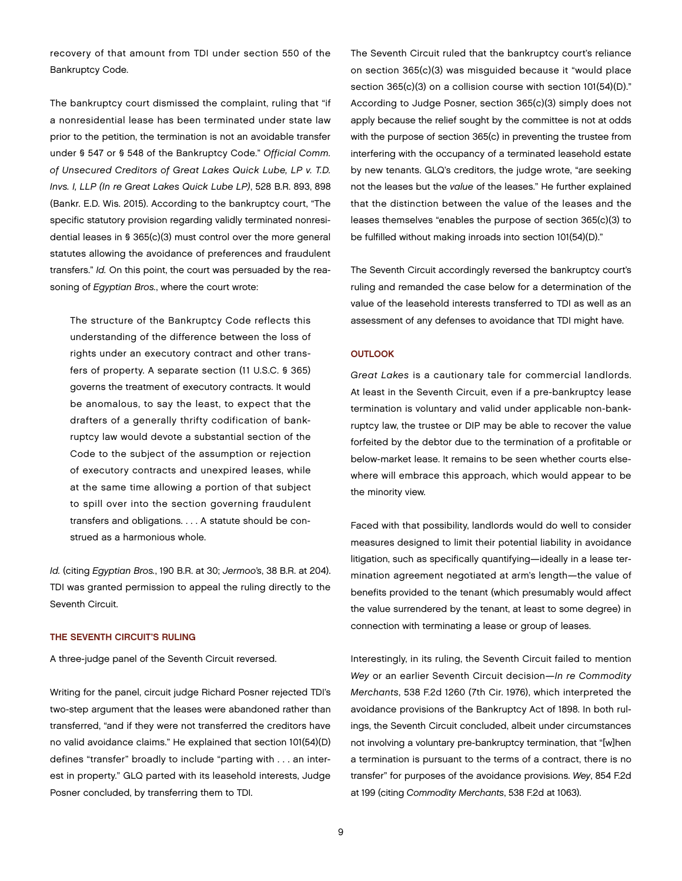recovery of that amount from TDI under section 550 of the Bankruptcy Code.

The bankruptcy court dismissed the complaint, ruling that "if a nonresidential lease has been terminated under state law prior to the petition, the termination is not an avoidable transfer under § 547 or § 548 of the Bankruptcy Code." *Official Comm. of Unsecured Creditors of Great Lakes Quick Lube, LP v. T.D. Invs. I, LLP (In re Great Lakes Quick Lube LP)*, 528 B.R. 893, 898 (Bankr. E.D. Wis. 2015). According to the bankruptcy court, "The specific statutory provision regarding validly terminated nonresidential leases in § 365(c)(3) must control over the more general statutes allowing the avoidance of preferences and fraudulent transfers." *Id.* On this point, the court was persuaded by the reasoning of *Egyptian Bros.*, where the court wrote:

The structure of the Bankruptcy Code reflects this understanding of the difference between the loss of rights under an executory contract and other transfers of property. A separate section (11 U.S.C. § 365) governs the treatment of executory contracts. It would be anomalous, to say the least, to expect that the drafters of a generally thrifty codification of bankruptcy law would devote a substantial section of the Code to the subject of the assumption or rejection of executory contracts and unexpired leases, while at the same time allowing a portion of that subject to spill over into the section governing fraudulent transfers and obligations. . . . A statute should be construed as a harmonious whole.

*Id.* (citing *Egyptian Bros.*, 190 B.R. at 30; *Jermoo's*, 38 B.R. at 204). TDI was granted permission to appeal the ruling directly to the Seventh Circuit.

#### THE SEVENTH CIRCUIT'S RULING

A three-judge panel of the Seventh Circuit reversed.

Writing for the panel, circuit judge Richard Posner rejected TDI's two-step argument that the leases were abandoned rather than transferred, "and if they were not transferred the creditors have no valid avoidance claims." He explained that section 101(54)(D) defines "transfer" broadly to include "parting with . . . an interest in property." GLQ parted with its leasehold interests, Judge Posner concluded, by transferring them to TDI.

The Seventh Circuit ruled that the bankruptcy court's reliance on section 365(c)(3) was misguided because it "would place section 365(c)(3) on a collision course with section 101(54)(D)." According to Judge Posner, section 365(c)(3) simply does not apply because the relief sought by the committee is not at odds with the purpose of section 365(c) in preventing the trustee from interfering with the occupancy of a terminated leasehold estate by new tenants. GLQ's creditors, the judge wrote, "are seeking not the leases but the *value* of the leases." He further explained that the distinction between the value of the leases and the leases themselves "enables the purpose of section 365(c)(3) to be fulfilled without making inroads into section 101(54)(D)."

The Seventh Circuit accordingly reversed the bankruptcy court's ruling and remanded the case below for a determination of the value of the leasehold interests transferred to TDI as well as an assessment of any defenses to avoidance that TDI might have.

#### **OUTLOOK**

*Great Lakes* is a cautionary tale for commercial landlords. At least in the Seventh Circuit, even if a pre-bankruptcy lease termination is voluntary and valid under applicable non-bankruptcy law, the trustee or DIP may be able to recover the value forfeited by the debtor due to the termination of a profitable or below-market lease. It remains to be seen whether courts elsewhere will embrace this approach, which would appear to be the minority view.

Faced with that possibility, landlords would do well to consider measures designed to limit their potential liability in avoidance litigation, such as specifically quantifying—ideally in a lease termination agreement negotiated at arm's length—the value of benefits provided to the tenant (which presumably would affect the value surrendered by the tenant, at least to some degree) in connection with terminating a lease or group of leases.

Interestingly, in its ruling, the Seventh Circuit failed to mention *Wey* or an earlier Seventh Circuit decision—*In re Commodity Merchants*, 538 F.2d 1260 (7th Cir. 1976), which interpreted the avoidance provisions of the Bankruptcy Act of 1898. In both rulings, the Seventh Circuit concluded, albeit under circumstances not involving a voluntary pre-bankruptcy termination, that "[w]hen a termination is pursuant to the terms of a contract, there is no transfer" for purposes of the avoidance provisions. *Wey*, 854 F.2d at 199 (citing *Commodity Merchants*, 538 F.2d at 1063).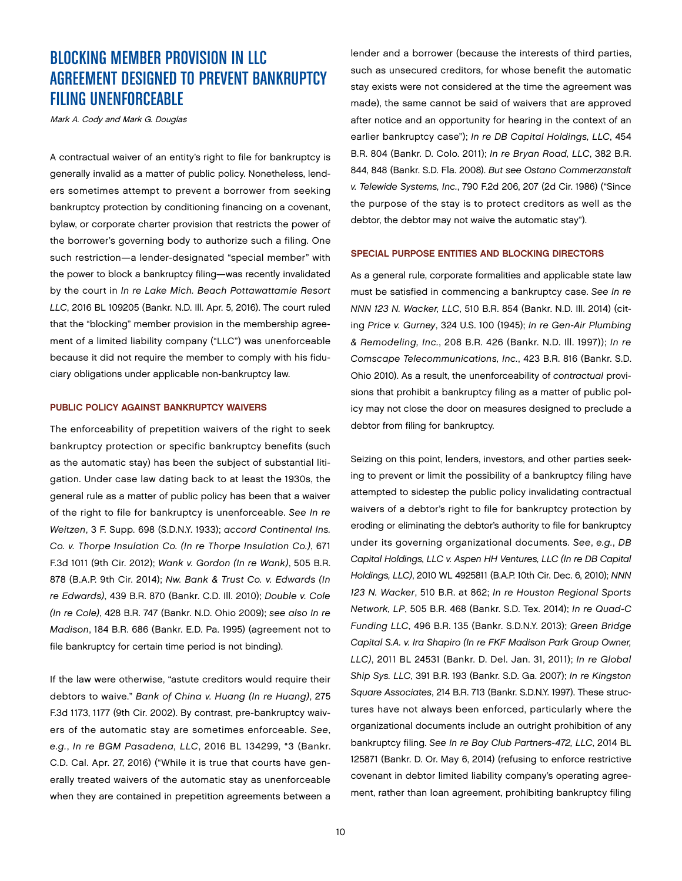# BLOCKING MEMBER PROVISION IN LLC AGREEMENT DESIGNED TO PREVENT BANKRUPTCY FILING UNENFORCEABLE

Mark A. Cody and Mark G. Douglas

A contractual waiver of an entity's right to file for bankruptcy is generally invalid as a matter of public policy. Nonetheless, lenders sometimes attempt to prevent a borrower from seeking bankruptcy protection by conditioning financing on a covenant, bylaw, or corporate charter provision that restricts the power of the borrower's governing body to authorize such a filing. One such restriction—a lender-designated "special member" with the power to block a bankruptcy filing—was recently invalidated by the court in *In re Lake Mich. Beach Pottawattamie Resort LLC*, 2016 BL 109205 (Bankr. N.D. Ill. Apr. 5, 2016). The court ruled that the "blocking" member provision in the membership agreement of a limited liability company ("LLC") was unenforceable because it did not require the member to comply with his fiduciary obligations under applicable non-bankruptcy law.

#### PUBLIC POLICY AGAINST BANKRUPTCY WAIVERS

The enforceability of prepetition waivers of the right to seek bankruptcy protection or specific bankruptcy benefits (such as the automatic stay) has been the subject of substantial litigation. Under case law dating back to at least the 1930s, the general rule as a matter of public policy has been that a waiver of the right to file for bankruptcy is unenforceable. *See In re Weitzen*, 3 F. Supp. 698 (S.D.N.Y. 1933); *accord Continental Ins. Co. v. Thorpe Insulation Co. (In re Thorpe Insulation Co.)*, 671 F.3d 1011 (9th Cir. 2012); *Wank v. Gordon (In re Wank)*, 505 B.R. 878 (B.A.P. 9th Cir. 2014); *Nw. Bank & Trust Co. v. Edwards (In re Edwards)*, 439 B.R. 870 (Bankr. C.D. Ill. 2010); *Double v. Cole (In re Cole)*, 428 B.R. 747 (Bankr. N.D. Ohio 2009); *see also In re Madison*, 184 B.R. 686 (Bankr. E.D. Pa. 1995) (agreement not to file bankruptcy for certain time period is not binding).

If the law were otherwise, "astute creditors would require their debtors to waive." *Bank of China v. Huang (In re Huang)*, 275 F.3d 1173, 1177 (9th Cir. 2002). By contrast, pre-bankruptcy waivers of the automatic stay are sometimes enforceable. *See*, *e.g.*, *In re BGM Pasadena, LLC*, 2016 BL 134299, \*3 (Bankr. C.D. Cal. Apr. 27, 2016) ("While it is true that courts have generally treated waivers of the automatic stay as unenforceable when they are contained in prepetition agreements between a lender and a borrower (because the interests of third parties, such as unsecured creditors, for whose benefit the automatic stay exists were not considered at the time the agreement was made), the same cannot be said of waivers that are approved after notice and an opportunity for hearing in the context of an earlier bankruptcy case"); *In re DB Capital Holdings, LLC*, 454 B.R. 804 (Bankr. D. Colo. 2011); *In re Bryan Road, LLC*, 382 B.R. 844, 848 (Bankr. S.D. Fla. 2008). *But see Ostano Commerzanstalt v. Telewide Systems, Inc.*, 790 F.2d 206, 207 (2d Cir. 1986) ("Since the purpose of the stay is to protect creditors as well as the debtor, the debtor may not waive the automatic stay").

#### SPECIAL PURPOSE ENTITIES AND BLOCKING DIRECTORS

As a general rule, corporate formalities and applicable state law must be satisfied in commencing a bankruptcy case. *See In re NNN 123 N. Wacker, LLC*, 510 B.R. 854 (Bankr. N.D. Ill. 2014) (citing *Price v. Gurney*, 324 U.S. 100 (1945); *In re Gen-Air Plumbing & Remodeling, Inc.*, 208 B.R. 426 (Bankr. N.D. Ill. 1997)); *In re Comscape Telecommunications, Inc.*, 423 B.R. 816 (Bankr. S.D. Ohio 2010). As a result, the unenforceability of *contractual* provisions that prohibit a bankruptcy filing as a matter of public policy may not close the door on measures designed to preclude a debtor from filing for bankruptcy.

Seizing on this point, lenders, investors, and other parties seeking to prevent or limit the possibility of a bankruptcy filing have attempted to sidestep the public policy invalidating contractual waivers of a debtor's right to file for bankruptcy protection by eroding or eliminating the debtor's authority to file for bankruptcy under its governing organizational documents. *See*, *e.g.*, *DB Capital Holdings, LLC v. Aspen HH Ventures, LLC (In re DB Capital Holdings, LLC)*, 2010 WL 4925811 (B.A.P. 10th Cir. Dec. 6, 2010); *NNN 123 N. Wacker*, 510 B.R. at 862; *In re Houston Regional Sports Network, LP*, 505 B.R. 468 (Bankr. S.D. Tex. 2014); *In re Quad-C Funding LLC*, 496 B.R. 135 (Bankr. S.D.N.Y. 2013); *Green Bridge Capital S.A. v. Ira Shapiro (In re FKF Madison Park Group Owner, LLC)*, 2011 BL 24531 (Bankr. D. Del. Jan. 31, 2011); *In re Global Ship Sys. LLC*, 391 B.R. 193 (Bankr. S.D. Ga. 2007); *In re Kingston Square Associates*, 214 B.R. 713 (Bankr. S.D.N.Y. 1997). These structures have not always been enforced, particularly where the organizational documents include an outright prohibition of any bankruptcy filing. *See In re Bay Club Partners-472, LLC*, 2014 BL 125871 (Bankr. D. Or. May 6, 2014) (refusing to enforce restrictive covenant in debtor limited liability company's operating agreement, rather than loan agreement, prohibiting bankruptcy filing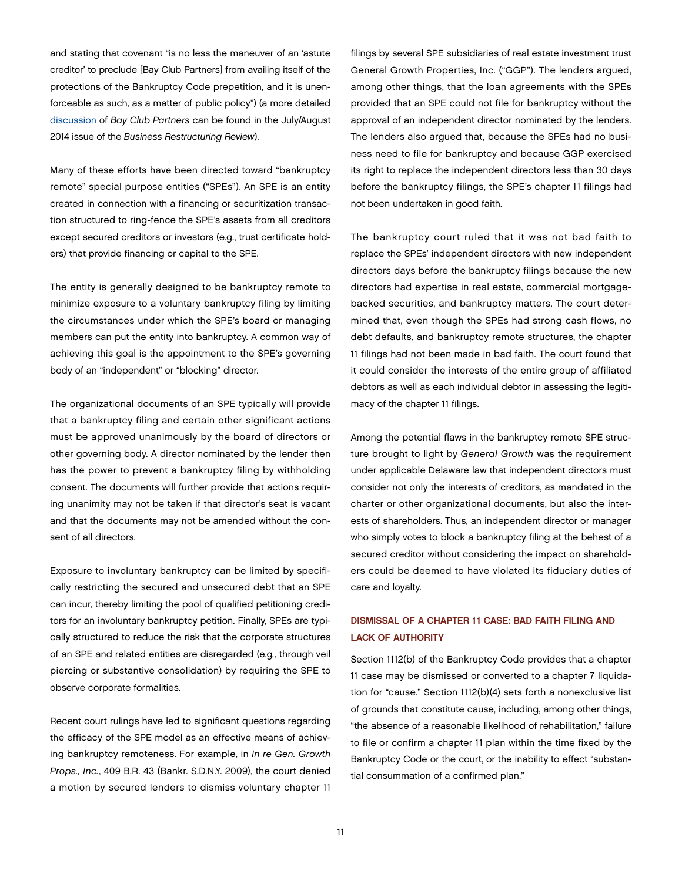and stating that covenant "is no less the maneuver of an 'astute creditor' to preclude [Bay Club Partners] from availing itself of the protections of the Bankruptcy Code prepetition, and it is unenforceable as such, as a matter of public policy") (a more detailed [discussion](http://www.jonesday.com/cleverly-insidious-bankruptcy-waiver-in-spe-operating-agreement-unenforceable-as-matter-of-public-policy-08-01-2014/) of *Bay Club Partners* can be found in the July/August 2014 issue of the *Business Restructuring Review*).

Many of these efforts have been directed toward "bankruptcy remote" special purpose entities ("SPEs"). An SPE is an entity created in connection with a financing or securitization transaction structured to ring-fence the SPE's assets from all creditors except secured creditors or investors (e.g., trust certificate holders) that provide financing or capital to the SPE.

The entity is generally designed to be bankruptcy remote to minimize exposure to a voluntary bankruptcy filing by limiting the circumstances under which the SPE's board or managing members can put the entity into bankruptcy. A common way of achieving this goal is the appointment to the SPE's governing body of an "independent" or "blocking" director.

The organizational documents of an SPE typically will provide that a bankruptcy filing and certain other significant actions must be approved unanimously by the board of directors or other governing body. A director nominated by the lender then has the power to prevent a bankruptcy filing by withholding consent. The documents will further provide that actions requiring unanimity may not be taken if that director's seat is vacant and that the documents may not be amended without the consent of all directors.

Exposure to involuntary bankruptcy can be limited by specifically restricting the secured and unsecured debt that an SPE can incur, thereby limiting the pool of qualified petitioning creditors for an involuntary bankruptcy petition. Finally, SPEs are typically structured to reduce the risk that the corporate structures of an SPE and related entities are disregarded (e.g*.*, through veil piercing or substantive consolidation) by requiring the SPE to observe corporate formalities.

Recent court rulings have led to significant questions regarding the efficacy of the SPE model as an effective means of achieving bankruptcy remoteness. For example, in *In re Gen. Growth Props., Inc.*, 409 B.R. 43 (Bankr. S.D.N.Y. 2009), the court denied a motion by secured lenders to dismiss voluntary chapter 11

filings by several SPE subsidiaries of real estate investment trust General Growth Properties, Inc. ("GGP"). The lenders argued, among other things, that the loan agreements with the SPEs provided that an SPE could not file for bankruptcy without the approval of an independent director nominated by the lenders. The lenders also argued that, because the SPEs had no business need to file for bankruptcy and because GGP exercised its right to replace the independent directors less than 30 days before the bankruptcy filings, the SPE's chapter 11 filings had not been undertaken in good faith.

The bankruptcy court ruled that it was not bad faith to replace the SPEs' independent directors with new independent directors days before the bankruptcy filings because the new directors had expertise in real estate, commercial mortgagebacked securities, and bankruptcy matters. The court determined that, even though the SPEs had strong cash flows, no debt defaults, and bankruptcy remote structures, the chapter 11 filings had not been made in bad faith. The court found that it could consider the interests of the entire group of affiliated debtors as well as each individual debtor in assessing the legitimacy of the chapter 11 filings.

Among the potential flaws in the bankruptcy remote SPE structure brought to light by *General Growth* was the requirement under applicable Delaware law that independent directors must consider not only the interests of creditors, as mandated in the charter or other organizational documents, but also the interests of shareholders. Thus, an independent director or manager who simply votes to block a bankruptcy filing at the behest of a secured creditor without considering the impact on shareholders could be deemed to have violated its fiduciary duties of care and loyalty.

## DISMISSAL OF A CHAPTER 11 CASE: BAD FAITH FILING AND LACK OF AUTHORITY

Section 1112(b) of the Bankruptcy Code provides that a chapter 11 case may be dismissed or converted to a chapter 7 liquidation for "cause." Section 1112(b)(4) sets forth a nonexclusive list of grounds that constitute cause, including, among other things, "the absence of a reasonable likelihood of rehabilitation," failure to file or confirm a chapter 11 plan within the time fixed by the Bankruptcy Code or the court, or the inability to effect "substantial consummation of a confirmed plan."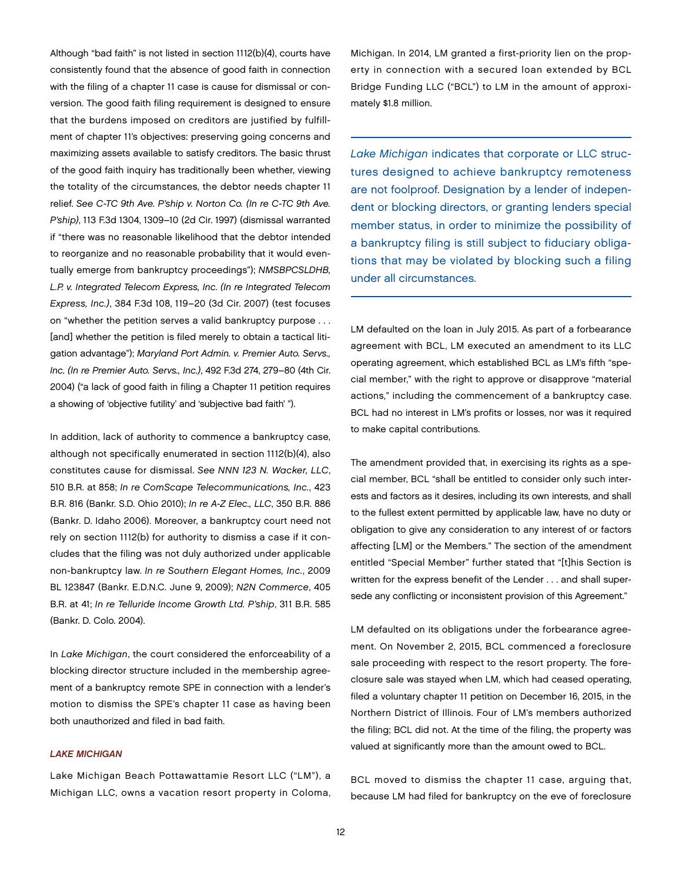Although "bad faith" is not listed in section 1112(b)(4), courts have consistently found that the absence of good faith in connection with the filing of a chapter 11 case is cause for dismissal or conversion. The good faith filing requirement is designed to ensure that the burdens imposed on creditors are justified by fulfillment of chapter 11's objectives: preserving going concerns and maximizing assets available to satisfy creditors. The basic thrust of the good faith inquiry has traditionally been whether, viewing the totality of the circumstances, the debtor needs chapter 11 relief. *See C-TC 9th Ave. P'ship v. Norton Co. (In re C-TC 9th Ave. P'ship)*, 113 F.3d 1304, 1309–10 (2d Cir. 1997) (dismissal warranted if "there was no reasonable likelihood that the debtor intended to reorganize and no reasonable probability that it would eventually emerge from bankruptcy proceedings"); *NMSBPCSLDHB, L.P. v. Integrated Telecom Express, Inc. (In re Integrated Telecom Express, Inc.)*, 384 F.3d 108, 119–20 (3d Cir. 2007) (test focuses on "whether the petition serves a valid bankruptcy purpose . . . [and] whether the petition is filed merely to obtain a tactical litigation advantage"); *Maryland Port Admin. v. Premier Auto. Servs., Inc. (In re Premier Auto. Servs., Inc.)*, 492 F.3d 274, 279–80 (4th Cir. 2004) ("a lack of good faith in filing a Chapter 11 petition requires a showing of 'objective futility' and 'subjective bad faith' ").

In addition, lack of authority to commence a bankruptcy case, although not specifically enumerated in section 1112(b)(4), also constitutes cause for dismissal. *See NNN 123 N. Wacker, LLC*, 510 B.R. at 858; *In re ComScape Telecommunications, Inc.*, 423 B.R. 816 (Bankr. S.D. Ohio 2010); *In re A-Z Elec., LLC*, 350 B.R. 886 (Bankr. D. Idaho 2006). Moreover, a bankruptcy court need not rely on section 1112(b) for authority to dismiss a case if it concludes that the filing was not duly authorized under applicable non-bankruptcy law. *In re Southern Elegant Homes, Inc.*, 2009 BL 123847 (Bankr. E.D.N.C. June 9, 2009); *N2N Commerce*, 405 B.R. at 41; *In re Telluride Income Growth Ltd. P'ship*, 311 B.R. 585 (Bankr. D. Colo. 2004).

In *Lake Michigan*, the court considered the enforceability of a blocking director structure included in the membership agreement of a bankruptcy remote SPE in connection with a lender's motion to dismiss the SPE's chapter 11 case as having been both unauthorized and filed in bad faith.

#### *LAKE MICHIGAN*

Lake Michigan Beach Pottawattamie Resort LLC ("LM"), a Michigan LLC, owns a vacation resort property in Coloma, Michigan. In 2014, LM granted a first-priority lien on the property in connection with a secured loan extended by BCL Bridge Funding LLC ("BCL") to LM in the amount of approximately \$1.8 million.

*Lake Michigan* indicates that corporate or LLC structures designed to achieve bankruptcy remoteness are not foolproof. Designation by a lender of independent or blocking directors, or granting lenders special member status, in order to minimize the possibility of a bankruptcy filing is still subject to fiduciary obligations that may be violated by blocking such a filing under all circumstances.

LM defaulted on the loan in July 2015. As part of a forbearance agreement with BCL, LM executed an amendment to its LLC operating agreement, which established BCL as LM's fifth "special member," with the right to approve or disapprove "material actions," including the commencement of a bankruptcy case. BCL had no interest in LM's profits or losses, nor was it required to make capital contributions.

The amendment provided that, in exercising its rights as a special member, BCL "shall be entitled to consider only such interests and factors as it desires, including its own interests, and shall to the fullest extent permitted by applicable law, have no duty or obligation to give any consideration to any interest of or factors affecting [LM] or the Members." The section of the amendment entitled "Special Member" further stated that "[t]his Section is written for the express benefit of the Lender . . . and shall supersede any conflicting or inconsistent provision of this Agreement."

LM defaulted on its obligations under the forbearance agreement. On November 2, 2015, BCL commenced a foreclosure sale proceeding with respect to the resort property. The foreclosure sale was stayed when LM, which had ceased operating, filed a voluntary chapter 11 petition on December 16, 2015, in the Northern District of Illinois. Four of LM's members authorized the filing; BCL did not. At the time of the filing, the property was valued at significantly more than the amount owed to BCL.

BCL moved to dismiss the chapter 11 case, arguing that, because LM had filed for bankruptcy on the eve of foreclosure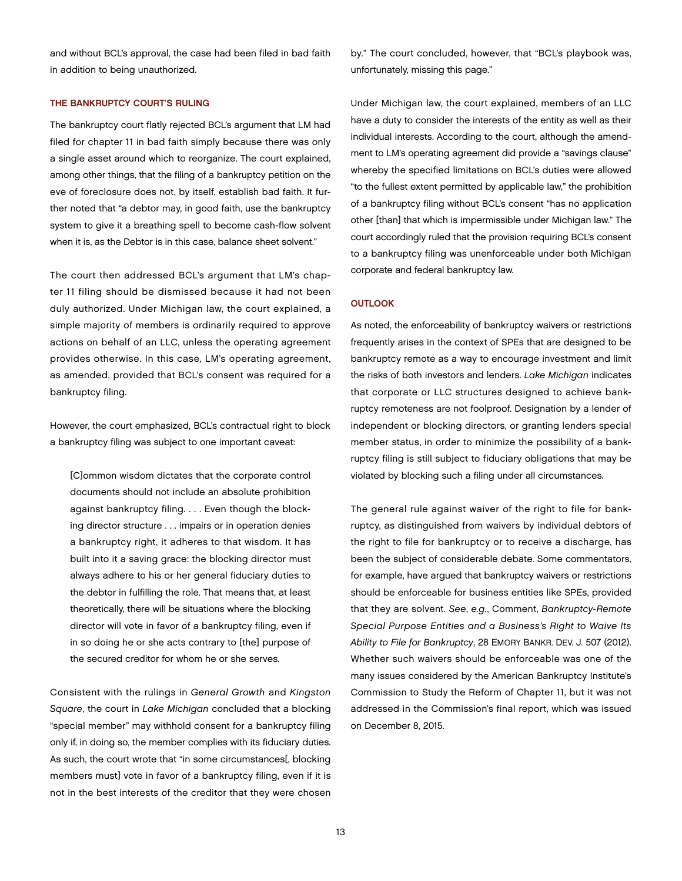and without BCL's approval, the case had been filed in bad faith in addition to being unauthorized.

#### THE BANKRUPTCY COURT'S RULING

The bankruptcy court flatly rejected BCL's argument that LM had filed for chapter 11 in bad faith simply because there was only a single asset around which to reorganize. The court explained, among other things, that the filing of a bankruptcy petition on the eve of foreclosure does not, by itself, establish bad faith. It further noted that "a debtor may, in good faith, use the bankruptcy system to give it a breathing spell to become cash-flow solvent when it is, as the Debtor is in this case, balance sheet solvent."

The court then addressed BCL's argument that LM's chapter 11 filing should be dismissed because it had not been duly authorized. Under Michigan law, the court explained, a simple majority of members is ordinarily required to approve actions on behalf of an LLC, unless the operating agreement provides otherwise. In this case, LM's operating agreement, as amended, provided that BCL's consent was required for a bankruptcy filing.

However, the court emphasized, BCL's contractual right to block a bankruptcy filing was subject to one important caveat:

[C]ommon wisdom dictates that the corporate control documents should not include an absolute prohibition against bankruptcy filing. . . . Even though the blocking director structure . . . impairs or in operation denies a bankruptcy right, it adheres to that wisdom. It has built into it a saving grace: the blocking director must always adhere to his or her general fiduciary duties to the debtor in fulfilling the role. That means that, at least theoretically, there will be situations where the blocking director will vote in favor of a bankruptcy filing, even if in so doing he or she acts contrary to [the] purpose of the secured creditor for whom he or she serves.

Consistent with the rulings in *General Growth* and *Kingston Square*, the court in *Lake Michigan* concluded that a blocking "special member" may withhold consent for a bankruptcy filing only if, in doing so, the member complies with its fiduciary duties. As such, the court wrote that "in some circumstances[, blocking members must] vote in favor of a bankruptcy filing, even if it is not in the best interests of the creditor that they were chosen

by." The court concluded, however, that "BCL's playbook was, unfortunately, missing this page."

Under Michigan law, the court explained, members of an LLC have a duty to consider the interests of the entity as well as their individual interests. According to the court, although the amendment to LM's operating agreement did provide a "savings clause" whereby the specified limitations on BCL's duties were allowed "to the fullest extent permitted by applicable law," the prohibition of a bankruptcy filing without BCL's consent "has no application other [than] that which is impermissible under Michigan law." The court accordingly ruled that the provision requiring BCL's consent to a bankruptcy filing was unenforceable under both Michigan corporate and federal bankruptcy law.

#### **OUTLOOK**

As noted, the enforceability of bankruptcy waivers or restrictions frequently arises in the context of SPEs that are designed to be bankruptcy remote as a way to encourage investment and limit the risks of both investors and lenders. *Lake Michigan* indicates that corporate or LLC structures designed to achieve bankruptcy remoteness are not foolproof. Designation by a lender of independent or blocking directors, or granting lenders special member status, in order to minimize the possibility of a bankruptcy filing is still subject to fiduciary obligations that may be violated by blocking such a filing under all circumstances.

The general rule against waiver of the right to file for bankruptcy, as distinguished from waivers by individual debtors of the right to file for bankruptcy or to receive a discharge, has been the subject of considerable debate. Some commentators, for example, have argued that bankruptcy waivers or restrictions should be enforceable for business entities like SPEs, provided that they are solvent. *See*, *e.g.*, Comment, *Bankruptcy-Remote Special Purpose Entities and a Business's Right to Waive Its Ability to File for Bankruptcy*, 28 EMORY BANKR. DEV. J. 507 (2012). Whether such waivers should be enforceable was one of the many issues considered by the American Bankruptcy Institute's Commission to Study the Reform of Chapter 11, but it was not addressed in the Commission's final report, which was issued on December 8, 2015.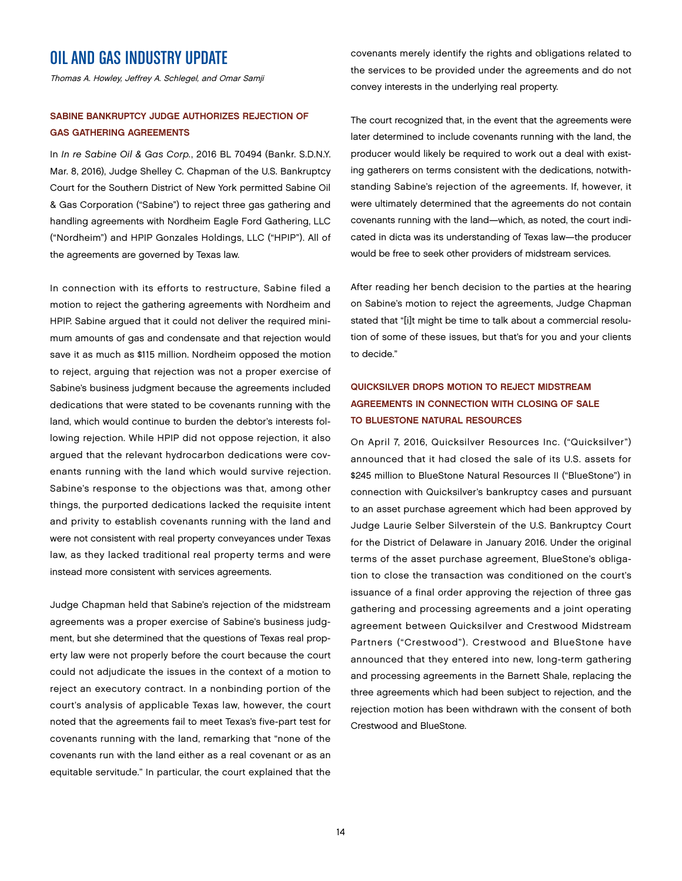# OIL AND GAS INDUSTRY UPDATE

Thomas A. Howley, Jeffrey A. Schlegel, and Omar Samji

### SABINE BANKRUPTCY JUDGE AUTHORIZES REJECTION OF GAS GATHERING AGREEMENTS

In *In re Sabine Oil & Gas Corp.*, 2016 BL 70494 (Bankr. S.D.N.Y. Mar. 8, 2016), Judge Shelley C. Chapman of the U.S. Bankruptcy Court for the Southern District of New York permitted Sabine Oil & Gas Corporation ("Sabine") to reject three gas gathering and handling agreements with Nordheim Eagle Ford Gathering, LLC ("Nordheim") and HPIP Gonzales Holdings, LLC ("HPIP"). All of the agreements are governed by Texas law.

In connection with its efforts to restructure, Sabine filed a motion to reject the gathering agreements with Nordheim and HPIP. Sabine argued that it could not deliver the required minimum amounts of gas and condensate and that rejection would save it as much as \$115 million. Nordheim opposed the motion to reject, arguing that rejection was not a proper exercise of Sabine's business judgment because the agreements included dedications that were stated to be covenants running with the land, which would continue to burden the debtor's interests following rejection. While HPIP did not oppose rejection, it also argued that the relevant hydrocarbon dedications were covenants running with the land which would survive rejection. Sabine's response to the objections was that, among other things, the purported dedications lacked the requisite intent and privity to establish covenants running with the land and were not consistent with real property conveyances under Texas law, as they lacked traditional real property terms and were instead more consistent with services agreements.

Judge Chapman held that Sabine's rejection of the midstream agreements was a proper exercise of Sabine's business judgment, but she determined that the questions of Texas real property law were not properly before the court because the court could not adjudicate the issues in the context of a motion to reject an executory contract. In a nonbinding portion of the court's analysis of applicable Texas law, however, the court noted that the agreements fail to meet Texas's five-part test for covenants running with the land, remarking that "none of the covenants run with the land either as a real covenant or as an equitable servitude." In particular, the court explained that the

covenants merely identify the rights and obligations related to the services to be provided under the agreements and do not convey interests in the underlying real property.

The court recognized that, in the event that the agreements were later determined to include covenants running with the land, the producer would likely be required to work out a deal with existing gatherers on terms consistent with the dedications, notwithstanding Sabine's rejection of the agreements. If, however, it were ultimately determined that the agreements do not contain covenants running with the land—which, as noted, the court indicated in dicta was its understanding of Texas law—the producer would be free to seek other providers of midstream services.

After reading her bench decision to the parties at the hearing on Sabine's motion to reject the agreements, Judge Chapman stated that "[i]t might be time to talk about a commercial resolution of some of these issues, but that's for you and your clients to decide."

## QUICKSILVER DROPS MOTION TO REJECT MIDSTREAM AGREEMENTS IN CONNECTION WITH CLOSING OF SALE TO BLUESTONE NATURAL RESOURCES

On April 7, 2016, Quicksilver Resources Inc. ("Quicksilver") announced that it had closed the sale of its U.S. assets for \$245 million to BlueStone Natural Resources II ("BlueStone") in connection with Quicksilver's bankruptcy cases and pursuant to an asset purchase agreement which had been approved by Judge Laurie Selber Silverstein of the U.S. Bankruptcy Court for the District of Delaware in January 2016. Under the original terms of the asset purchase agreement, BlueStone's obligation to close the transaction was conditioned on the court's issuance of a final order approving the rejection of three gas gathering and processing agreements and a joint operating agreement between Quicksilver and Crestwood Midstream Partners ("Crestwood"). Crestwood and BlueStone have announced that they entered into new, long-term gathering and processing agreements in the Barnett Shale, replacing the three agreements which had been subject to rejection, and the rejection motion has been withdrawn with the consent of both Crestwood and BlueStone.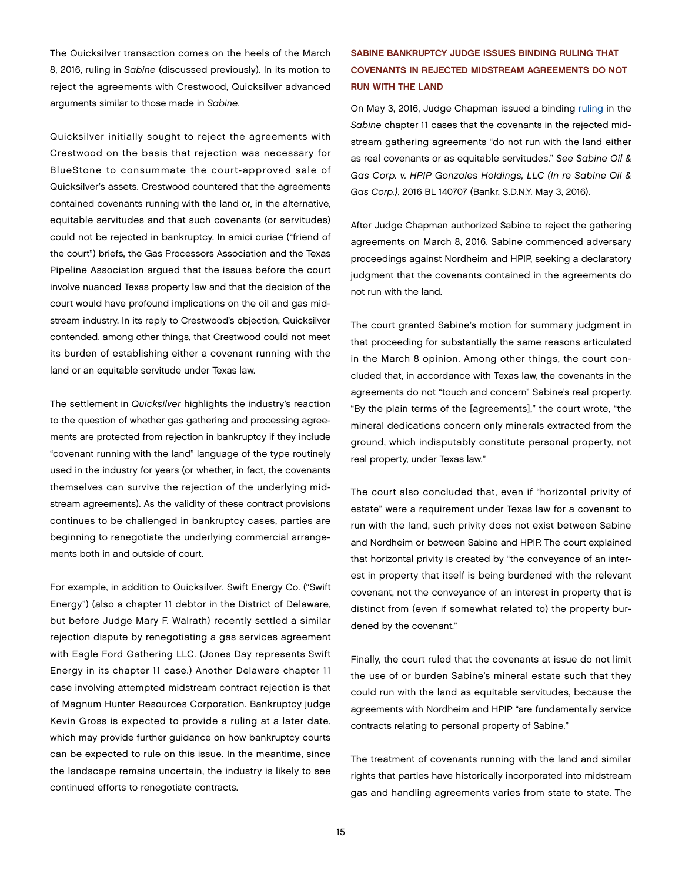The Quicksilver transaction comes on the heels of the March 8, 2016, ruling in *Sabine* (discussed previously). In its motion to reject the agreements with Crestwood, Quicksilver advanced arguments similar to those made in *Sabine*.

Quicksilver initially sought to reject the agreements with Crestwood on the basis that rejection was necessary for BlueStone to consummate the court-approved sale of Quicksilver's assets. Crestwood countered that the agreements contained covenants running with the land or, in the alternative, equitable servitudes and that such covenants (or servitudes) could not be rejected in bankruptcy. In amici curiae ("friend of the court") briefs, the Gas Processors Association and the Texas Pipeline Association argued that the issues before the court involve nuanced Texas property law and that the decision of the court would have profound implications on the oil and gas midstream industry. In its reply to Crestwood's objection, Quicksilver contended, among other things, that Crestwood could not meet its burden of establishing either a covenant running with the land or an equitable servitude under Texas law.

The settlement in *Quicksilver* highlights the industry's reaction to the question of whether gas gathering and processing agreements are protected from rejection in bankruptcy if they include "covenant running with the land" language of the type routinely used in the industry for years (or whether, in fact, the covenants themselves can survive the rejection of the underlying midstream agreements). As the validity of these contract provisions continues to be challenged in bankruptcy cases, parties are beginning to renegotiate the underlying commercial arrangements both in and outside of court.

For example, in addition to Quicksilver, Swift Energy Co. ("Swift Energy") (also a chapter 11 debtor in the District of Delaware, but before Judge Mary F. Walrath) recently settled a similar rejection dispute by renegotiating a gas services agreement with Eagle Ford Gathering LLC. (Jones Day represents Swift Energy in its chapter 11 case.) Another Delaware chapter 11 case involving attempted midstream contract rejection is that of Magnum Hunter Resources Corporation. Bankruptcy judge Kevin Gross is expected to provide a ruling at a later date, which may provide further guidance on how bankruptcy courts can be expected to rule on this issue. In the meantime, since the landscape remains uncertain, the industry is likely to see continued efforts to renegotiate contracts.

## SABINE BANKRUPTCY JUDGE ISSUES BINDING RULING THAT COVENANTS IN REJECTED MIDSTREAM AGREEMENTS DO NOT RUN WITH THE LAND

On May 3, 2016, Judge Chapman issued a binding [ruling](http://reorg-research.com/pdf/1019116.pdf) in the *Sabine* chapter 11 cases that the covenants in the rejected midstream gathering agreements "do not run with the land either as real covenants or as equitable servitudes." *See Sabine Oil & Gas Corp. v. HPIP Gonzales Holdings, LLC (In re Sabine Oil & Gas Corp.)*, 2016 BL 140707 (Bankr. S.D.N.Y. May 3, 2016).

After Judge Chapman authorized Sabine to reject the gathering agreements on March 8, 2016, Sabine commenced adversary proceedings against Nordheim and HPIP, seeking a declaratory judgment that the covenants contained in the agreements do not run with the land.

The court granted Sabine's motion for summary judgment in that proceeding for substantially the same reasons articulated in the March 8 opinion. Among other things, the court concluded that, in accordance with Texas law, the covenants in the agreements do not "touch and concern" Sabine's real property. "By the plain terms of the [agreements]," the court wrote, "the mineral dedications concern only minerals extracted from the ground, which indisputably constitute personal property, not real property, under Texas law."

The court also concluded that, even if "horizontal privity of estate" were a requirement under Texas law for a covenant to run with the land, such privity does not exist between Sabine and Nordheim or between Sabine and HPIP. The court explained that horizontal privity is created by "the conveyance of an interest in property that itself is being burdened with the relevant covenant, not the conveyance of an interest in property that is distinct from (even if somewhat related to) the property burdened by the covenant."

Finally, the court ruled that the covenants at issue do not limit the use of or burden Sabine's mineral estate such that they could run with the land as equitable servitudes, because the agreements with Nordheim and HPIP "are fundamentally service contracts relating to personal property of Sabine."

The treatment of covenants running with the land and similar rights that parties have historically incorporated into midstream gas and handling agreements varies from state to state. The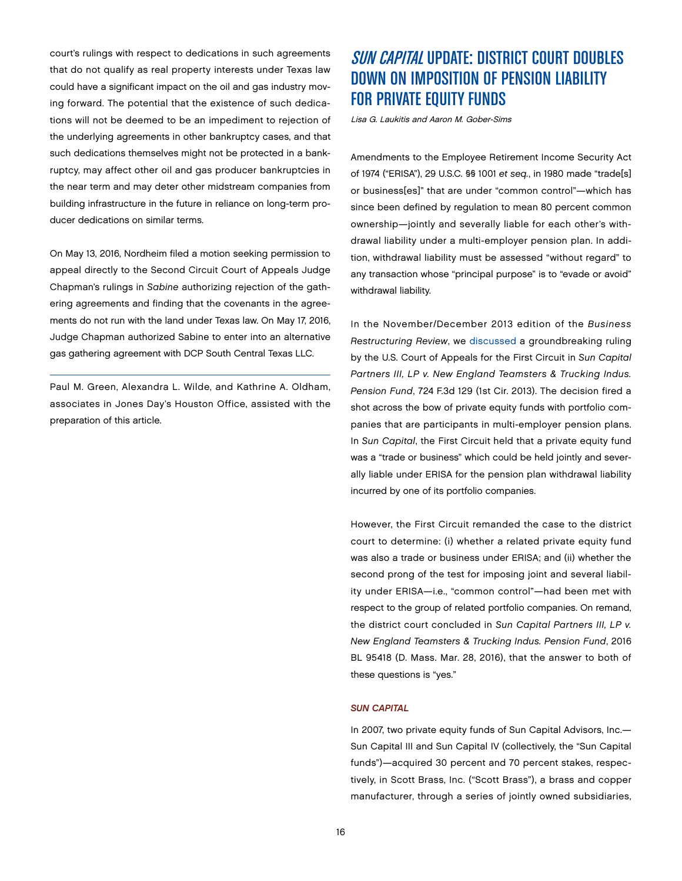court's rulings with respect to dedications in such agreements that do not qualify as real property interests under Texas law could have a significant impact on the oil and gas industry moving forward. The potential that the existence of such dedications will not be deemed to be an impediment to rejection of the underlying agreements in other bankruptcy cases, and that such dedications themselves might not be protected in a bankruptcy, may affect other oil and gas producer bankruptcies in the near term and may deter other midstream companies from building infrastructure in the future in reliance on long-term producer dedications on similar terms.

On May 13, 2016, Nordheim filed a motion seeking permission to appeal directly to the Second Circuit Court of Appeals Judge Chapman's rulings in *Sabine* authorizing rejection of the gathering agreements and finding that the covenants in the agreements do not run with the land under Texas law. On May 17, 2016, Judge Chapman authorized Sabine to enter into an alternative gas gathering agreement with DCP South Central Texas LLC.

Paul M. Green, Alexandra L. Wilde, and Kathrine A. Oldham, associates in Jones Day's Houston Office, assisted with the preparation of this article.

# SUN CAPITAL UPDATE: DISTRICT COURT DOUBLES DOWN ON IMPOSITION OF PENSION LIABILITY FOR PRIVATE EQUITY FUNDS

Lisa G. Laukitis and Aaron M. Gober-Sims

Amendments to the Employee Retirement Income Security Act of 1974 ("ERISA"), 29 U.S.C. §§ 1001 *et seq.*, in 1980 made "trade[s] or business[es]" that are under "common control"—which has since been defined by regulation to mean 80 percent common ownership—jointly and severally liable for each other's withdrawal liability under a multi-employer pension plan. In addition, withdrawal liability must be assessed "without regard" to any transaction whose "principal purpose" is to "evade or avoid" withdrawal liability.

In the November/December 2013 edition of the *Business Restructuring Review*, we [discussed](http://www.jonesday.com/the-first-circuit-fires-a-shot-across-the-bow-of-private-equity-funds-too-much-control-of-portfolio-companies-may-lead-to-pension-plan-withdrawal-liability-11-30-2013/) a groundbreaking ruling by the U.S. Court of Appeals for the First Circuit in *Sun Capital Partners III, LP v. New England Teamsters & Trucking Indus. Pension Fund*, 724 F.3d 129 (1st Cir. 2013). The decision fired a shot across the bow of private equity funds with portfolio companies that are participants in multi-employer pension plans. In *Sun Capital*, the First Circuit held that a private equity fund was a "trade or business" which could be held jointly and severally liable under ERISA for the pension plan withdrawal liability incurred by one of its portfolio companies.

However, the First Circuit remanded the case to the district court to determine: (i) whether a related private equity fund was also a trade or business under ERISA; and (ii) whether the second prong of the test for imposing joint and several liability under ERISA—i.e., "common control"—had been met with respect to the group of related portfolio companies. On remand, the district court concluded in *Sun Capital Partners III, LP v. New England Teamsters & Trucking Indus. Pension Fund*, 2016 BL 95418 (D. Mass. Mar. 28, 2016), that the answer to both of these questions is "yes."

#### *SUN CAPITAL*

In 2007, two private equity funds of Sun Capital Advisors, Inc.— Sun Capital III and Sun Capital IV (collectively, the "Sun Capital funds")—acquired 30 percent and 70 percent stakes, respectively, in Scott Brass, Inc. ("Scott Brass"), a brass and copper manufacturer, through a series of jointly owned subsidiaries,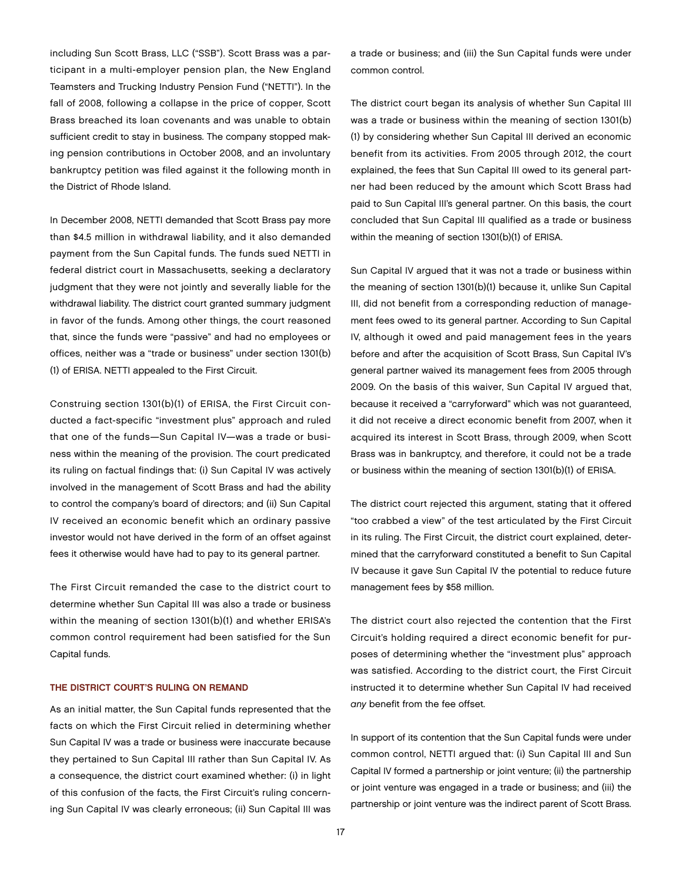including Sun Scott Brass, LLC ("SSB"). Scott Brass was a participant in a multi-employer pension plan, the New England Teamsters and Trucking Industry Pension Fund ("NETTI"). In the fall of 2008, following a collapse in the price of copper, Scott Brass breached its loan covenants and was unable to obtain sufficient credit to stay in business. The company stopped making pension contributions in October 2008, and an involuntary bankruptcy petition was filed against it the following month in the District of Rhode Island.

In December 2008, NETTI demanded that Scott Brass pay more than \$4.5 million in withdrawal liability, and it also demanded payment from the Sun Capital funds. The funds sued NETTI in federal district court in Massachusetts, seeking a declaratory judgment that they were not jointly and severally liable for the withdrawal liability. The district court granted summary judgment in favor of the funds. Among other things, the court reasoned that, since the funds were "passive" and had no employees or offices, neither was a "trade or business" under section 1301(b) (1) of ERISA. NETTI appealed to the First Circuit.

Construing section 1301(b)(1) of ERISA, the First Circuit conducted a fact-specific "investment plus" approach and ruled that one of the funds—Sun Capital IV—was a trade or business within the meaning of the provision. The court predicated its ruling on factual findings that: (i) Sun Capital IV was actively involved in the management of Scott Brass and had the ability to control the company's board of directors; and (ii) Sun Capital IV received an economic benefit which an ordinary passive investor would not have derived in the form of an offset against fees it otherwise would have had to pay to its general partner.

The First Circuit remanded the case to the district court to determine whether Sun Capital III was also a trade or business within the meaning of section 1301(b)(1) and whether ERISA's common control requirement had been satisfied for the Sun Capital funds.

#### THE DISTRICT COURT'S RULING ON REMAND

As an initial matter, the Sun Capital funds represented that the facts on which the First Circuit relied in determining whether Sun Capital IV was a trade or business were inaccurate because they pertained to Sun Capital III rather than Sun Capital IV. As a consequence, the district court examined whether: (i) in light of this confusion of the facts, the First Circuit's ruling concerning Sun Capital IV was clearly erroneous; (ii) Sun Capital III was

a trade or business; and (iii) the Sun Capital funds were under common control.

The district court began its analysis of whether Sun Capital III was a trade or business within the meaning of section 1301(b) (1) by considering whether Sun Capital III derived an economic benefit from its activities. From 2005 through 2012, the court explained, the fees that Sun Capital III owed to its general partner had been reduced by the amount which Scott Brass had paid to Sun Capital III's general partner. On this basis, the court concluded that Sun Capital III qualified as a trade or business within the meaning of section 1301(b)(1) of ERISA.

Sun Capital IV argued that it was not a trade or business within the meaning of section 1301(b)(1) because it, unlike Sun Capital III, did not benefit from a corresponding reduction of management fees owed to its general partner. According to Sun Capital IV, although it owed and paid management fees in the years before and after the acquisition of Scott Brass, Sun Capital IV's general partner waived its management fees from 2005 through 2009. On the basis of this waiver, Sun Capital IV argued that, because it received a "carryforward" which was not guaranteed, it did not receive a direct economic benefit from 2007, when it acquired its interest in Scott Brass, through 2009, when Scott Brass was in bankruptcy, and therefore, it could not be a trade or business within the meaning of section 1301(b)(1) of ERISA.

The district court rejected this argument, stating that it offered "too crabbed a view" of the test articulated by the First Circuit in its ruling. The First Circuit, the district court explained, determined that the carryforward constituted a benefit to Sun Capital IV because it gave Sun Capital IV the potential to reduce future management fees by \$58 million.

The district court also rejected the contention that the First Circuit's holding required a direct economic benefit for purposes of determining whether the "investment plus" approach was satisfied. According to the district court, the First Circuit instructed it to determine whether Sun Capital IV had received *any* benefit from the fee offset.

In support of its contention that the Sun Capital funds were under common control, NETTI argued that: (i) Sun Capital III and Sun Capital IV formed a partnership or joint venture; (ii) the partnership or joint venture was engaged in a trade or business; and (iii) the partnership or joint venture was the indirect parent of Scott Brass.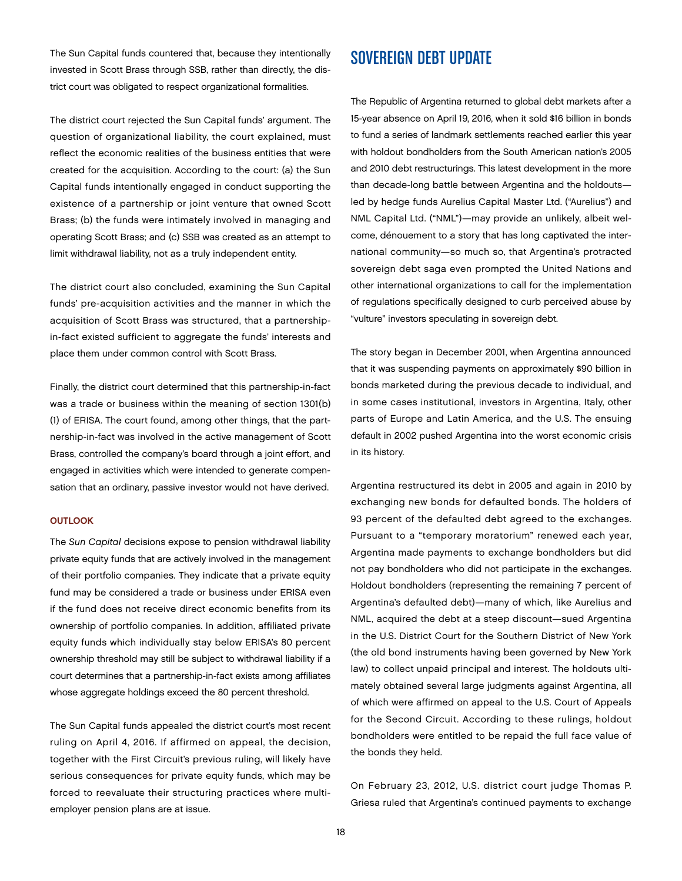The Sun Capital funds countered that, because they intentionally invested in Scott Brass through SSB, rather than directly, the district court was obligated to respect organizational formalities.

The district court rejected the Sun Capital funds' argument. The question of organizational liability, the court explained, must reflect the economic realities of the business entities that were created for the acquisition. According to the court: (a) the Sun Capital funds intentionally engaged in conduct supporting the existence of a partnership or joint venture that owned Scott Brass; (b) the funds were intimately involved in managing and operating Scott Brass; and (c) SSB was created as an attempt to limit withdrawal liability, not as a truly independent entity.

The district court also concluded, examining the Sun Capital funds' pre-acquisition activities and the manner in which the acquisition of Scott Brass was structured, that a partnershipin-fact existed sufficient to aggregate the funds' interests and place them under common control with Scott Brass.

Finally, the district court determined that this partnership-in-fact was a trade or business within the meaning of section 1301(b) (1) of ERISA. The court found, among other things, that the partnership-in-fact was involved in the active management of Scott Brass, controlled the company's board through a joint effort, and engaged in activities which were intended to generate compensation that an ordinary, passive investor would not have derived.

#### **OUTLOOK**

The *Sun Capital* decisions expose to pension withdrawal liability private equity funds that are actively involved in the management of their portfolio companies. They indicate that a private equity fund may be considered a trade or business under ERISA even if the fund does not receive direct economic benefits from its ownership of portfolio companies. In addition, affiliated private equity funds which individually stay below ERISA's 80 percent ownership threshold may still be subject to withdrawal liability if a court determines that a partnership-in-fact exists among affiliates whose aggregate holdings exceed the 80 percent threshold.

The Sun Capital funds appealed the district court's most recent ruling on April 4, 2016. If affirmed on appeal, the decision, together with the First Circuit's previous ruling, will likely have serious consequences for private equity funds, which may be forced to reevaluate their structuring practices where multiemployer pension plans are at issue.

## SOVEREIGN DEBT UPDATE

The Republic of Argentina returned to global debt markets after a 15-year absence on April 19, 2016, when it sold \$16 billion in bonds to fund a series of landmark settlements reached earlier this year with holdout bondholders from the South American nation's 2005 and 2010 debt restructurings. This latest development in the more than decade-long battle between Argentina and the holdouts led by hedge funds Aurelius Capital Master Ltd. ("Aurelius") and NML Capital Ltd. ("NML")—may provide an unlikely, albeit welcome, dénouement to a story that has long captivated the international community—so much so, that Argentina's protracted sovereign debt saga even prompted the United Nations and other international organizations to call for the implementation of regulations specifically designed to curb perceived abuse by "vulture" investors speculating in sovereign debt.

The story began in December 2001, when Argentina announced that it was suspending payments on approximately \$90 billion in bonds marketed during the previous decade to individual, and in some cases institutional, investors in Argentina, Italy, other parts of Europe and Latin America, and the U.S. The ensuing default in 2002 pushed Argentina into the worst economic crisis in its history.

Argentina restructured its debt in 2005 and again in 2010 by exchanging new bonds for defaulted bonds. The holders of 93 percent of the defaulted debt agreed to the exchanges. Pursuant to a "temporary moratorium" renewed each year, Argentina made payments to exchange bondholders but did not pay bondholders who did not participate in the exchanges. Holdout bondholders (representing the remaining 7 percent of Argentina's defaulted debt)—many of which, like Aurelius and NML, acquired the debt at a steep discount—sued Argentina in the U.S. District Court for the Southern District of New York (the old bond instruments having been governed by New York law) to collect unpaid principal and interest. The holdouts ultimately obtained several large judgments against Argentina, all of which were affirmed on appeal to the U.S. Court of Appeals for the Second Circuit. According to these rulings, holdout bondholders were entitled to be repaid the full face value of the bonds they held.

On February 23, 2012, U.S. district court judge Thomas P. Griesa ruled that Argentina's continued payments to exchange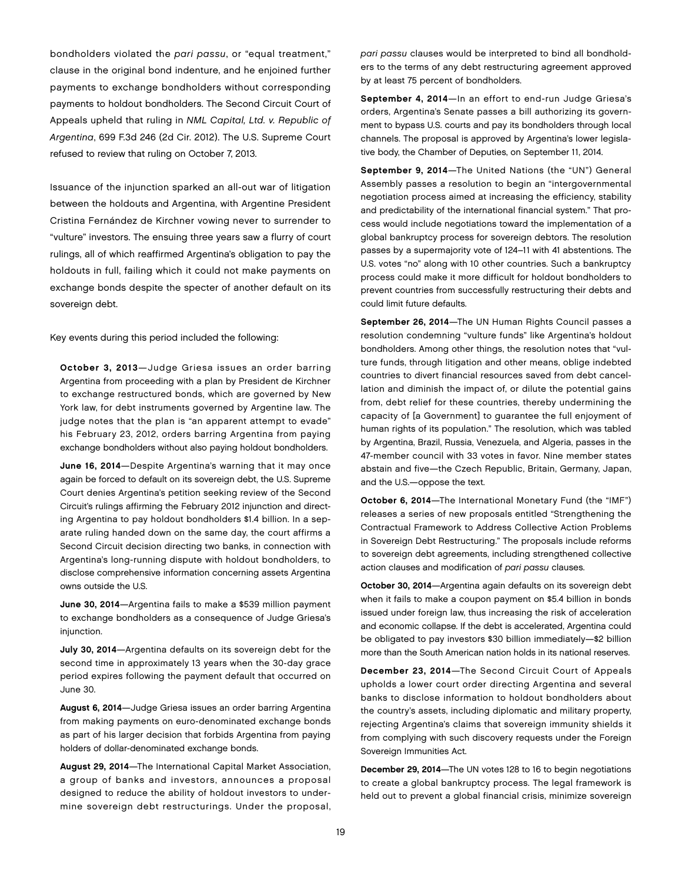bondholders violated the *pari passu*, or "equal treatment," clause in the original bond indenture, and he enjoined further payments to exchange bondholders without corresponding payments to holdout bondholders. The Second Circuit Court of Appeals upheld that ruling in *NML Capital, Ltd. v. Republic of Argentina*, 699 F.3d 246 (2d Cir. 2012). The U.S. Supreme Court refused to review that ruling on October 7, 2013.

Issuance of the injunction sparked an all-out war of litigation between the holdouts and Argentina, with Argentine President Cristina Fernández de Kirchner vowing never to surrender to "vulture" investors. The ensuing three years saw a flurry of court rulings, all of which reaffirmed Argentina's obligation to pay the holdouts in full, failing which it could not make payments on exchange bonds despite the specter of another default on its sovereign debt.

Key events during this period included the following:

October 3, 2013—Judge Griesa issues an order barring Argentina from proceeding with a plan by President de Kirchner to exchange restructured bonds, which are governed by New York law, for debt instruments governed by Argentine law. The judge notes that the plan is "an apparent attempt to evade" his February 23, 2012, orders barring Argentina from paying exchange bondholders without also paying holdout bondholders.

June 16, 2014—Despite Argentina's warning that it may once again be forced to default on its sovereign debt, the U.S. Supreme Court denies Argentina's petition seeking review of the Second Circuit's rulings affirming the February 2012 injunction and directing Argentina to pay holdout bondholders \$1.4 billion. In a separate ruling handed down on the same day, the court affirms a Second Circuit decision directing two banks, in connection with Argentina's long-running dispute with holdout bondholders, to disclose comprehensive information concerning assets Argentina owns outside the U.S.

June 30, 2014—Argentina fails to make a \$539 million payment to exchange bondholders as a consequence of Judge Griesa's injunction.

July 30, 2014—Argentina defaults on its sovereign debt for the second time in approximately 13 years when the 30-day grace period expires following the payment default that occurred on June 30.

August 6, 2014—Judge Griesa issues an order barring Argentina from making payments on euro-denominated exchange bonds as part of his larger decision that forbids Argentina from paying holders of dollar-denominated exchange bonds.

August 29, 2014—The International Capital Market Association, a group of banks and investors, announces a proposal designed to reduce the ability of holdout investors to undermine sovereign debt restructurings. Under the proposal,

*pari passu* clauses would be interpreted to bind all bondholders to the terms of any debt restructuring agreement approved by at least 75 percent of bondholders.

September 4, 2014—In an effort to end-run Judge Griesa's orders, Argentina's Senate passes a bill authorizing its government to bypass U.S. courts and pay its bondholders through local channels. The proposal is approved by Argentina's lower legislative body, the Chamber of Deputies, on September 11, 2014.

September 9, 2014—The United Nations (the "UN") General Assembly passes a resolution to begin an "intergovernmental negotiation process aimed at increasing the efficiency, stability and predictability of the international financial system." That process would include negotiations toward the implementation of a global bankruptcy process for sovereign debtors. The resolution passes by a supermajority vote of 124–11 with 41 abstentions. The U.S. votes "no" along with 10 other countries. Such a bankruptcy process could make it more difficult for holdout bondholders to prevent countries from successfully restructuring their debts and could limit future defaults.

September 26, 2014—The UN Human Rights Council passes a resolution condemning "vulture funds" like Argentina's holdout bondholders. Among other things, the resolution notes that "vulture funds, through litigation and other means, oblige indebted countries to divert financial resources saved from debt cancellation and diminish the impact of, or dilute the potential gains from, debt relief for these countries, thereby undermining the capacity of [a Government] to guarantee the full enjoyment of human rights of its population." The resolution, which was tabled by Argentina, Brazil, Russia, Venezuela, and Algeria, passes in the 47-member council with 33 votes in favor. Nine member states abstain and five—the Czech Republic, Britain, Germany, Japan, and the U.S.—oppose the text.

October 6, 2014—The International Monetary Fund (the "IMF") releases a series of new proposals entitled "Strengthening the Contractual Framework to Address Collective Action Problems in Sovereign Debt Restructuring." The proposals include reforms to sovereign debt agreements, including strengthened collective action clauses and modification of *pari passu* clauses.

October 30, 2014—Argentina again defaults on its sovereign debt when it fails to make a coupon payment on \$5.4 billion in bonds issued under foreign law, thus increasing the risk of acceleration and economic collapse. If the debt is accelerated, Argentina could be obligated to pay investors \$30 billion immediately—\$2 billion more than the South American nation holds in its national reserves.

December 23, 2014—The Second Circuit Court of Appeals upholds a lower court order directing Argentina and several banks to disclose information to holdout bondholders about the country's assets, including diplomatic and military property, rejecting Argentina's claims that sovereign immunity shields it from complying with such discovery requests under the Foreign Sovereign Immunities Act.

December 29, 2014—The UN votes 128 to 16 to begin negotiations to create a global bankruptcy process. The legal framework is held out to prevent a global financial crisis, minimize sovereign